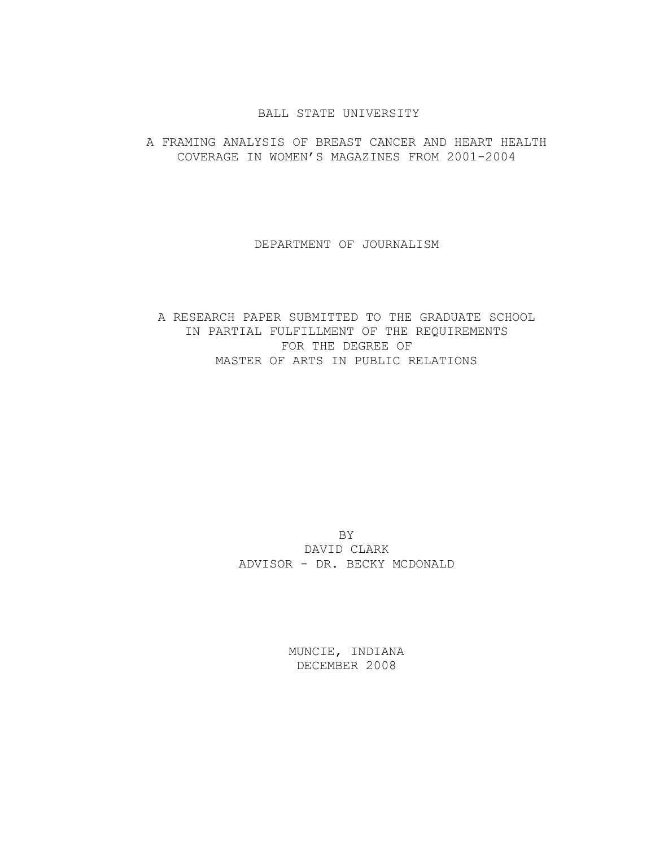### BALL STATE UNIVERSITY

# A FRAMING ANALYSIS OF BREAST CANCER AND HEART HEALTH COVERAGE IN WOMEN'S MAGAZINES FROM 2001-2004

### DEPARTMENT OF JOURNALISM

# A RESEARCH PAPER SUBMITTED TO THE GRADUATE SCHOOL IN PARTIAL FULFILLMENT OF THE REQUIREMENTS FOR THE DEGREE OF MASTER OF ARTS IN PUBLIC RELATIONS

BY DAVID CLARK ADVISOR - DR. BECKY MCDONALD

> MUNCIE, INDIANA DECEMBER 2008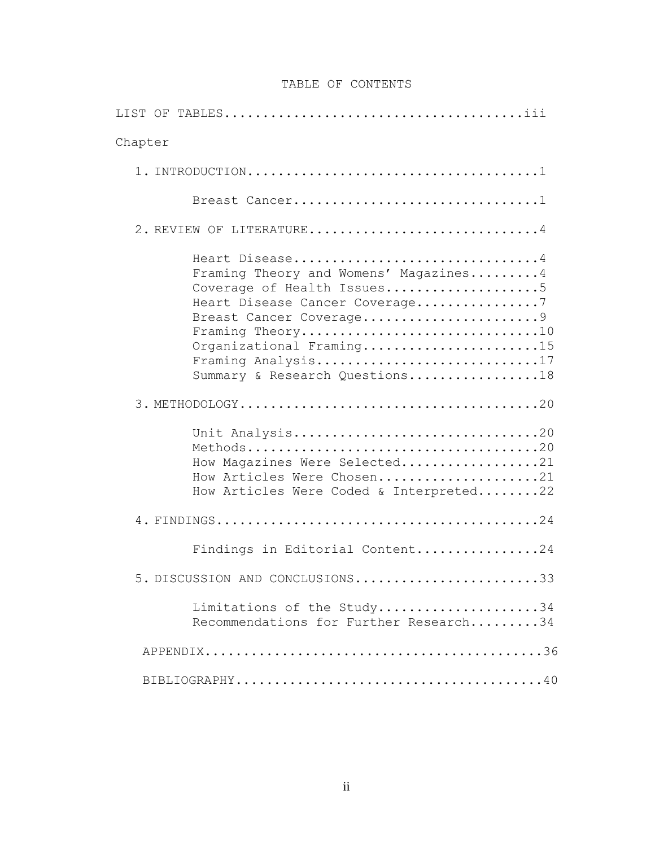# TABLE OF CONTENTS

| Chapter                                                                                                                                                                                                                                                    |
|------------------------------------------------------------------------------------------------------------------------------------------------------------------------------------------------------------------------------------------------------------|
|                                                                                                                                                                                                                                                            |
| Breast Cancer1                                                                                                                                                                                                                                             |
| 2. REVIEW OF LITERATURE4                                                                                                                                                                                                                                   |
| Heart Disease4<br>Framing Theory and Womens' Magazines4<br>Coverage of Health Issues5<br>Heart Disease Cancer Coverage7<br>Breast Cancer Coverage9<br>Framing Theory10<br>Organizational Framing15<br>Framing Analysis17<br>Summary & Research Questions18 |
|                                                                                                                                                                                                                                                            |
| Unit Analysis20<br>How Magazines Were Selected21<br>How Articles Were Chosen21<br>How Articles Were Coded & Interpreted22                                                                                                                                  |
|                                                                                                                                                                                                                                                            |
| Findings in Editorial Content24                                                                                                                                                                                                                            |
| 5. DISCUSSION AND CONCLUSIONS33                                                                                                                                                                                                                            |
| Limitations of the Study34<br>Recommendations for Further Research34                                                                                                                                                                                       |
|                                                                                                                                                                                                                                                            |
|                                                                                                                                                                                                                                                            |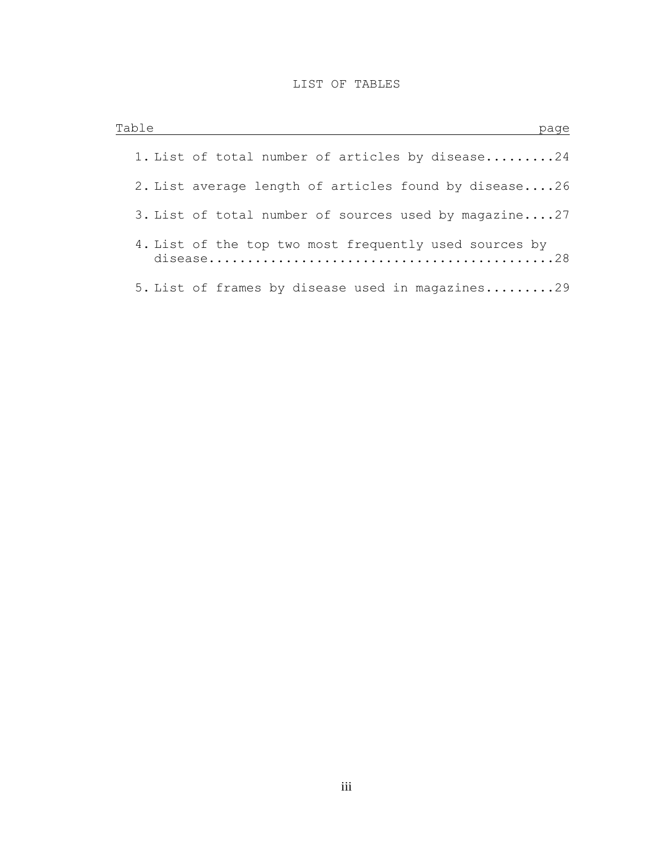# LIST OF TABLES

| Table | page                                                   |
|-------|--------------------------------------------------------|
|       | 1. List of total number of articles by disease24       |
|       | 2. List average length of articles found by disease26  |
|       | 3. List of total number of sources used by magazine27  |
|       | 4. List of the top two most frequently used sources by |
|       | 5. List of frames by disease used in magazines29       |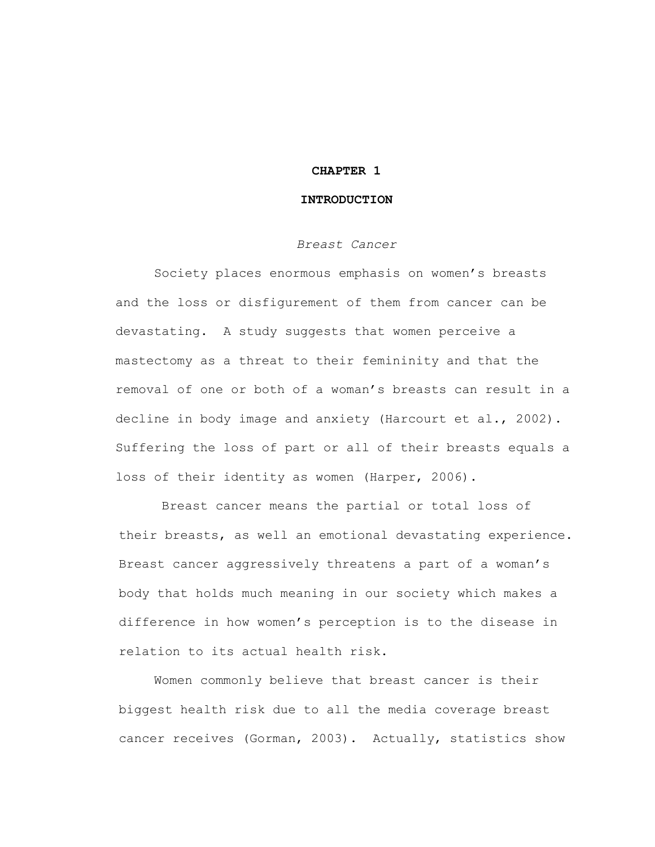### **CHAPTER 1**

### **INTRODUCTION**

### *Breast Cancer*

Society places enormous emphasis on women's breasts and the loss or disfigurement of them from cancer can be devastating. A study suggests that women perceive a mastectomy as a threat to their femininity and that the removal of one or both of a woman's breasts can result in a decline in body image and anxiety (Harcourt et al., 2002). Suffering the loss of part or all of their breasts equals a loss of their identity as women (Harper, 2006).

Breast cancer means the partial or total loss of their breasts, as well an emotional devastating experience. Breast cancer aggressively threatens a part of a woman's body that holds much meaning in our society which makes a difference in how women's perception is to the disease in relation to its actual health risk.

Women commonly believe that breast cancer is their biggest health risk due to all the media coverage breast cancer receives (Gorman, 2003). Actually, statistics show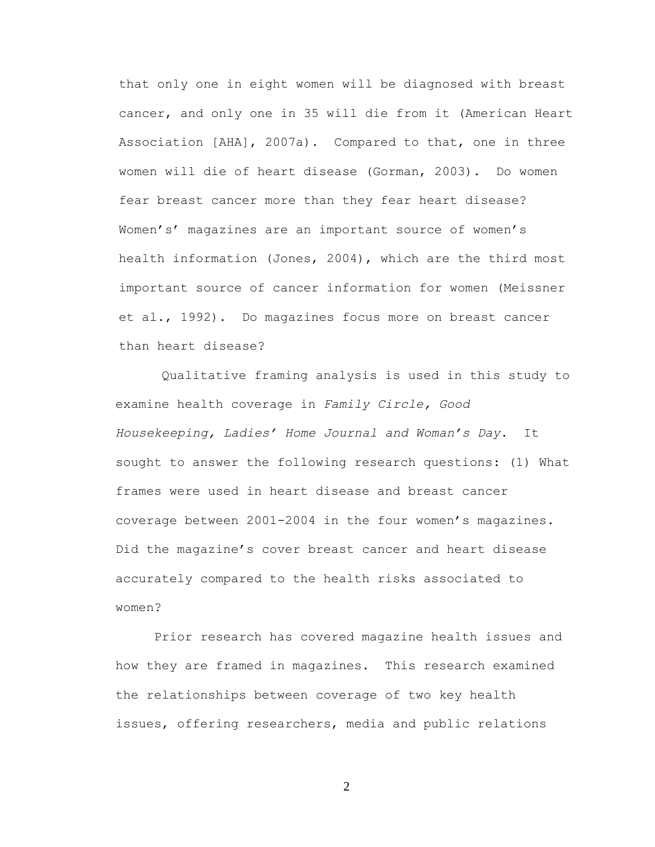that only one in eight women will be diagnosed with breast cancer, and only one in 35 will die from it (American Heart Association [AHA], 2007a). Compared to that, one in three women will die of heart disease (Gorman, 2003). Do women fear breast cancer more than they fear heart disease? Women's' magazines are an important source of women's health information (Jones, 2004), which are the third most important source of cancer information for women (Meissner et al., 1992). Do magazines focus more on breast cancer than heart disease?

Qualitative framing analysis is used in this study to examine health coverage in *Family Circle, Good Housekeeping, Ladies' Home Journal and Woman's Day*. It sought to answer the following research questions: (1) What frames were used in heart disease and breast cancer coverage between 2001-2004 in the four women's magazines. Did the magazine's cover breast cancer and heart disease accurately compared to the health risks associated to women?

Prior research has covered magazine health issues and how they are framed in magazines. This research examined the relationships between coverage of two key health issues, offering researchers, media and public relations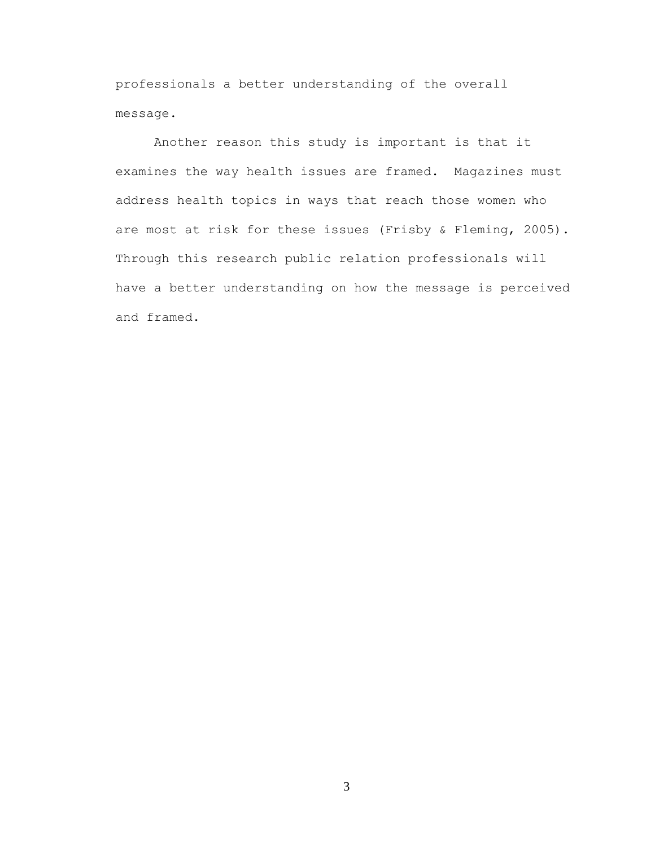professionals a better understanding of the overall message.

Another reason this study is important is that it examines the way health issues are framed. Magazines must address health topics in ways that reach those women who are most at risk for these issues (Frisby & Fleming, 2005). Through this research public relation professionals will have a better understanding on how the message is perceived and framed.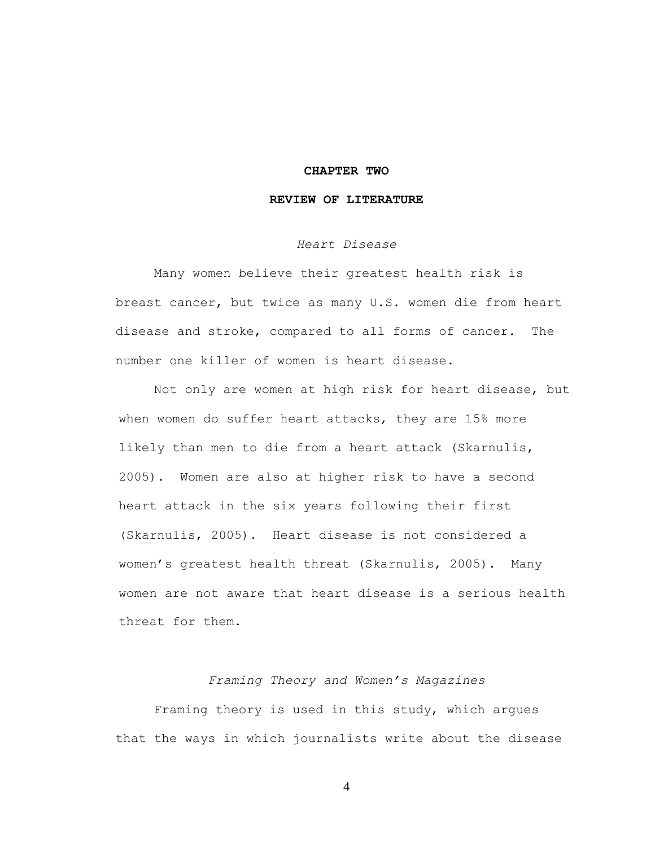### **CHAPTER TWO**

## **REVIEW OF LITERATURE**

# *Heart Disease*

Many women believe their greatest health risk is breast cancer, but twice as many U.S. women die from heart disease and stroke, compared to all forms of cancer. The number one killer of women is heart disease.

Not only are women at high risk for heart disease, but when women do suffer heart attacks, they are 15% more likely than men to die from a heart attack (Skarnulis, 2005). Women are also at higher risk to have a second heart attack in the six years following their first (Skarnulis, 2005). Heart disease is not considered a women's greatest health threat (Skarnulis, 2005). Many women are not aware that heart disease is a serious health threat for them**.**

### *Framing Theory and Women's Magazines*

Framing theory is used in this study, which argues that the ways in which journalists write about the disease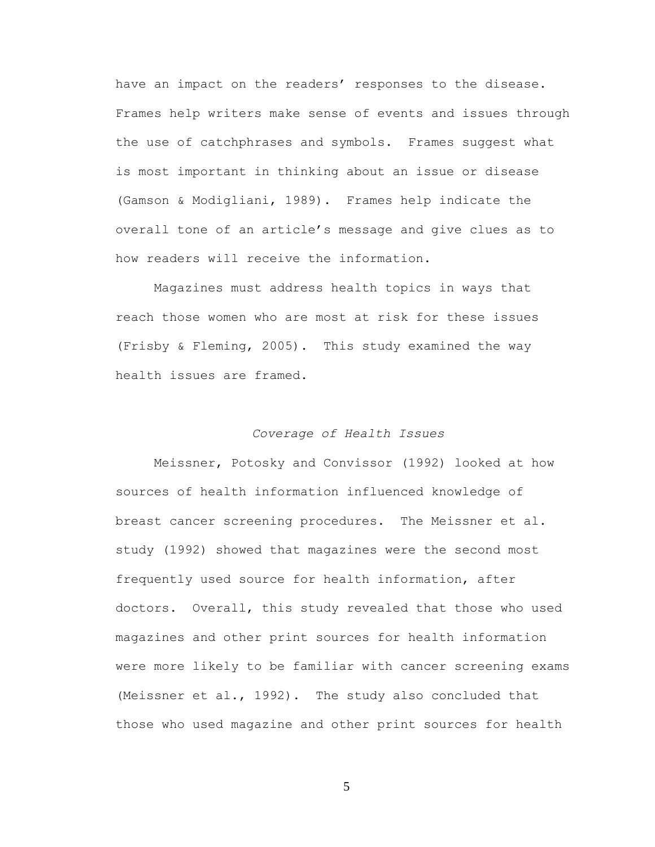have an impact on the readers' responses to the disease. Frames help writers make sense of events and issues through the use of catchphrases and symbols. Frames suggest what is most important in thinking about an issue or disease (Gamson & Modigliani, 1989). Frames help indicate the overall tone of an article's message and give clues as to how readers will receive the information.

Magazines must address health topics in ways that reach those women who are most at risk for these issues (Frisby & Fleming, 2005). This study examined the way health issues are framed.

#### *Coverage of Health Issues*

Meissner, Potosky and Convissor (1992) looked at how sources of health information influenced knowledge of breast cancer screening procedures. The Meissner et al. study (1992) showed that magazines were the second most frequently used source for health information, after doctors. Overall, this study revealed that those who used magazines and other print sources for health information were more likely to be familiar with cancer screening exams (Meissner et al., 1992). The study also concluded that those who used magazine and other print sources for health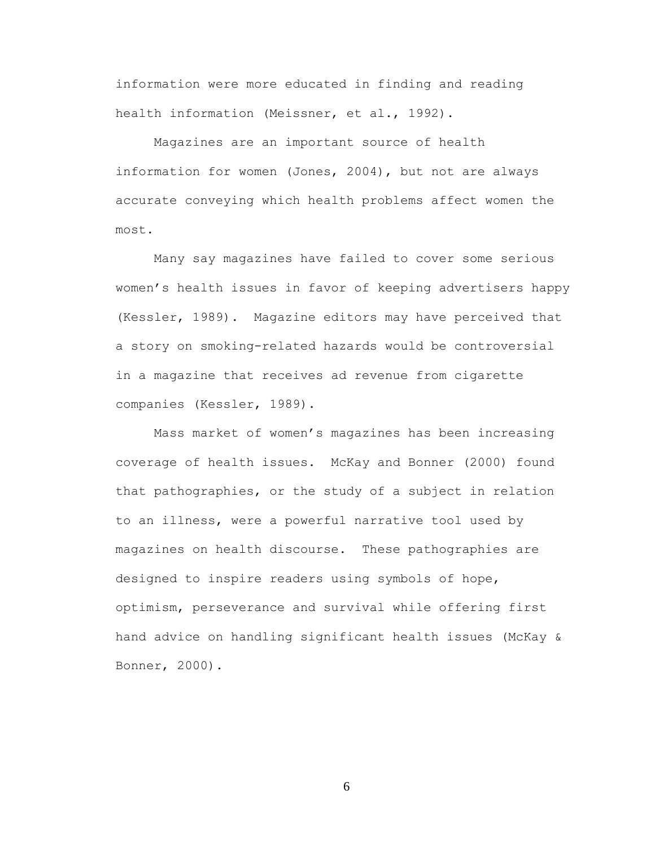information were more educated in finding and reading health information (Meissner, et al., 1992).

Magazines are an important source of health information for women (Jones, 2004), but not are always accurate conveying which health problems affect women the most.

Many say magazines have failed to cover some serious women's health issues in favor of keeping advertisers happy (Kessler, 1989). Magazine editors may have perceived that a story on smoking-related hazards would be controversial in a magazine that receives ad revenue from cigarette companies (Kessler, 1989).

Mass market of women's magazines has been increasing coverage of health issues. McKay and Bonner (2000) found that pathographies, or the study of a subject in relation to an illness, were a powerful narrative tool used by magazines on health discourse. These pathographies are designed to inspire readers using symbols of hope, optimism, perseverance and survival while offering first hand advice on handling significant health issues (McKay & Bonner, 2000).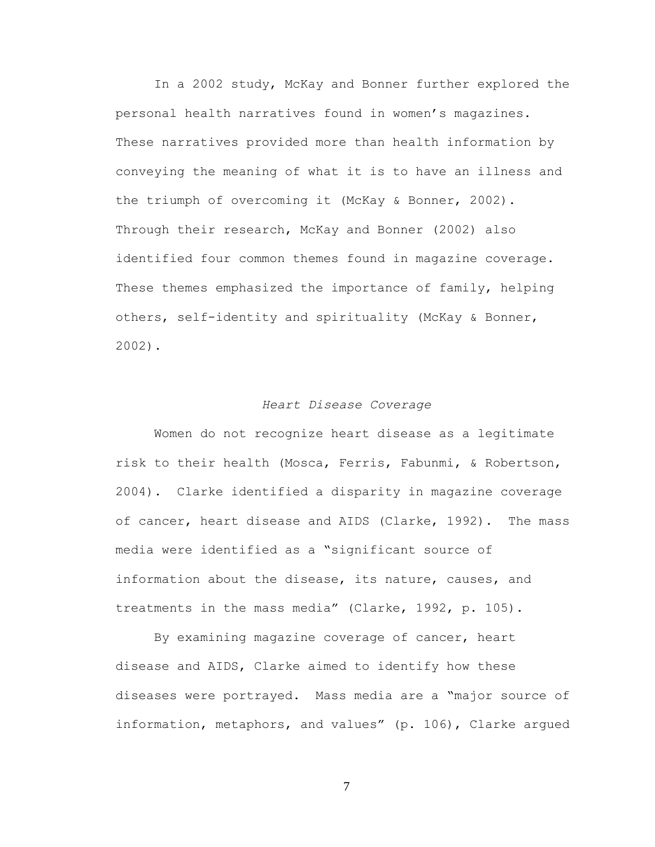In a 2002 study, McKay and Bonner further explored the personal health narratives found in women's magazines. These narratives provided more than health information by conveying the meaning of what it is to have an illness and the triumph of overcoming it (McKay & Bonner, 2002). Through their research, McKay and Bonner (2002) also identified four common themes found in magazine coverage. These themes emphasized the importance of family, helping others, self-identity and spirituality (McKay & Bonner, 2002).

# *Heart Disease Coverage*

Women do not recognize heart disease as a legitimate risk to their health (Mosca, Ferris, Fabunmi, & Robertson, 2004). Clarke identified a disparity in magazine coverage of cancer, heart disease and AIDS (Clarke, 1992). The mass media were identified as a "significant source of information about the disease, its nature, causes, and treatments in the mass media" (Clarke, 1992, p. 105).

By examining magazine coverage of cancer, heart disease and AIDS, Clarke aimed to identify how these diseases were portrayed. Mass media are a "major source of information, metaphors, and values" (p. 106), Clarke argued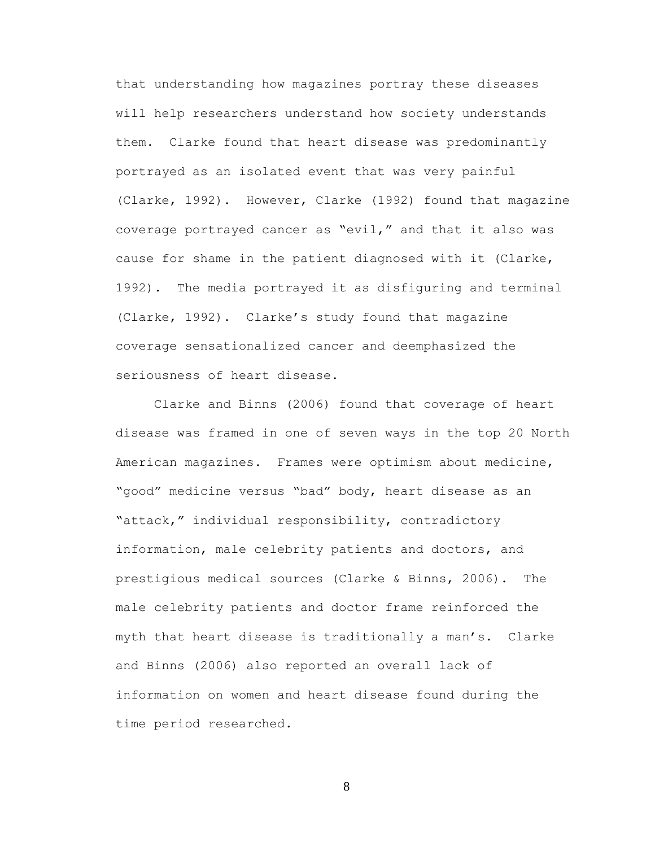that understanding how magazines portray these diseases will help researchers understand how society understands them. Clarke found that heart disease was predominantly portrayed as an isolated event that was very painful (Clarke, 1992). However, Clarke (1992) found that magazine coverage portrayed cancer as "evil," and that it also was cause for shame in the patient diagnosed with it (Clarke, 1992). The media portrayed it as disfiguring and terminal (Clarke, 1992). Clarke's study found that magazine coverage sensationalized cancer and deemphasized the seriousness of heart disease.

Clarke and Binns (2006) found that coverage of heart disease was framed in one of seven ways in the top 20 North American magazines. Frames were optimism about medicine, "good" medicine versus "bad" body, heart disease as an "attack," individual responsibility, contradictory information, male celebrity patients and doctors, and prestigious medical sources (Clarke & Binns, 2006). The male celebrity patients and doctor frame reinforced the myth that heart disease is traditionally a man's. Clarke and Binns (2006) also reported an overall lack of information on women and heart disease found during the time period researched.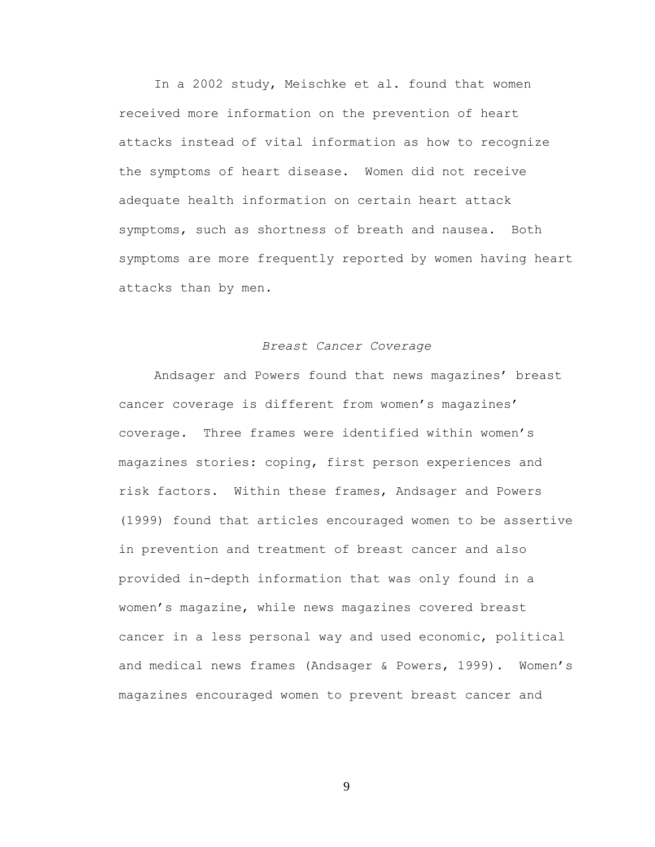In a 2002 study, Meischke et al. found that women received more information on the prevention of heart attacks instead of vital information as how to recognize the symptoms of heart disease. Women did not receive adequate health information on certain heart attack symptoms, such as shortness of breath and nausea. Both symptoms are more frequently reported by women having heart attacks than by men.

### *Breast Cancer Coverage*

Andsager and Powers found that news magazines' breast cancer coverage is different from women's magazines' coverage. Three frames were identified within women's magazines stories: coping, first person experiences and risk factors. Within these frames, Andsager and Powers (1999) found that articles encouraged women to be assertive in prevention and treatment of breast cancer and also provided in-depth information that was only found in a women's magazine, while news magazines covered breast cancer in a less personal way and used economic, political and medical news frames (Andsager & Powers, 1999). Women's magazines encouraged women to prevent breast cancer and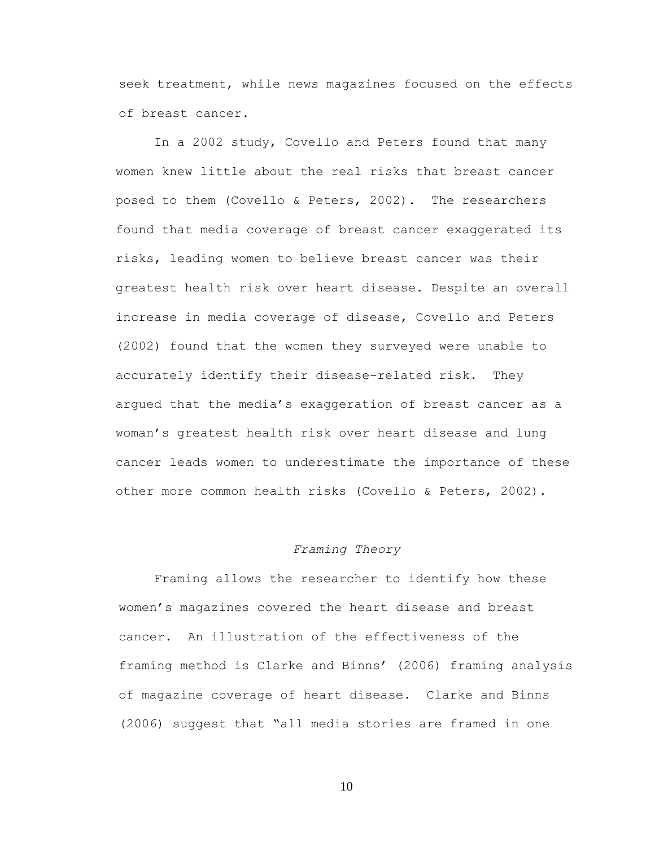seek treatment, while news magazines focused on the effects of breast cancer.

In a 2002 study, Covello and Peters found that many women knew little about the real risks that breast cancer posed to them (Covello & Peters, 2002). The researchers found that media coverage of breast cancer exaggerated its risks, leading women to believe breast cancer was their greatest health risk over heart disease. Despite an overall increase in media coverage of disease, Covello and Peters (2002) found that the women they surveyed were unable to accurately identify their disease-related risk. They argued that the media's exaggeration of breast cancer as a woman's greatest health risk over heart disease and lung cancer leads women to underestimate the importance of these other more common health risks (Covello & Peters, 2002).

### *Framing Theory*

Framing allows the researcher to identify how these women's magazines covered the heart disease and breast cancer. An illustration of the effectiveness of the framing method is Clarke and Binns' (2006) framing analysis of magazine coverage of heart disease. Clarke and Binns (2006) suggest that "all media stories are framed in one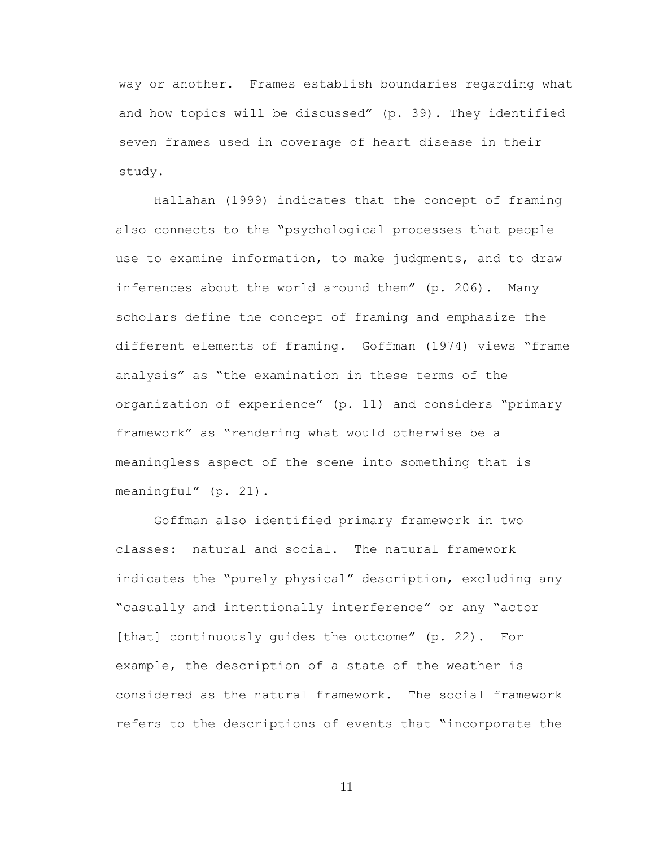way or another. Frames establish boundaries regarding what and how topics will be discussed" (p. 39). They identified seven frames used in coverage of heart disease in their study.

Hallahan (1999) indicates that the concept of framing also connects to the "psychological processes that people use to examine information, to make judgments, and to draw inferences about the world around them" (p. 206). Many scholars define the concept of framing and emphasize the different elements of framing. Goffman (1974) views ―frame analysis" as "the examination in these terms of the organization of experience" (p. 11) and considers "primary framework" as "rendering what would otherwise be a meaningless aspect of the scene into something that is meaningful" (p. 21).

Goffman also identified primary framework in two classes: natural and social. The natural framework indicates the "purely physical" description, excluding any "casually and intentionally interference" or any "actor [that] continuously quides the outcome"  $(p. 22)$ . For example, the description of a state of the weather is considered as the natural framework. The social framework refers to the descriptions of events that "incorporate the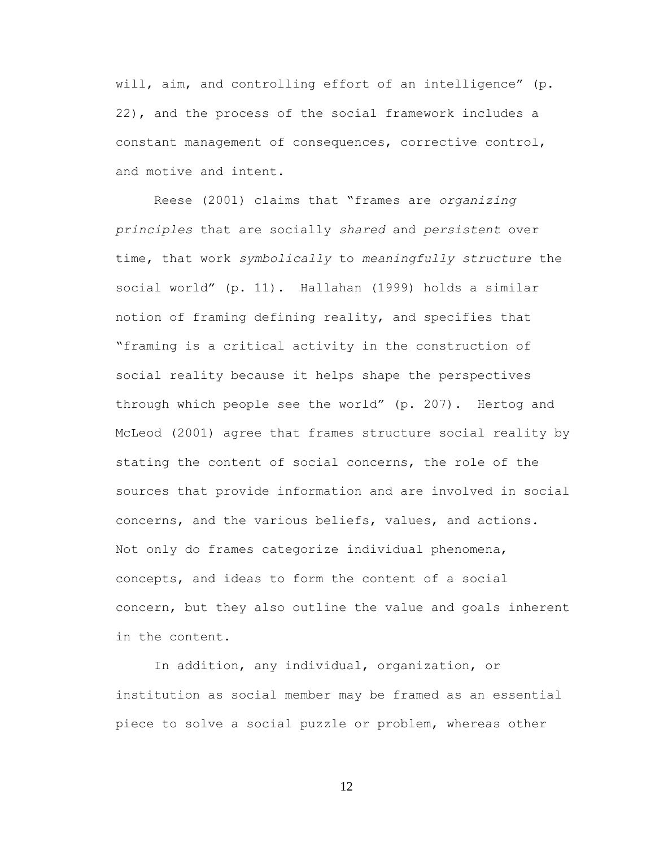will, aim, and controlling effort of an intelligence" (p. 22), and the process of the social framework includes a constant management of consequences, corrective control, and motive and intent.

Reese (2001) claims that ―frames are *organizing principles* that are socially *shared* and *persistent* over time, that work *symbolically* to *meaningfully structure* the social world" (p. 11). Hallahan (1999) holds a similar notion of framing defining reality, and specifies that ―framing is a critical activity in the construction of social reality because it helps shape the perspectives through which people see the world" (p. 207). Hertog and McLeod (2001) agree that frames structure social reality by stating the content of social concerns, the role of the sources that provide information and are involved in social concerns, and the various beliefs, values, and actions. Not only do frames categorize individual phenomena, concepts, and ideas to form the content of a social concern, but they also outline the value and goals inherent in the content.

In addition, any individual, organization, or institution as social member may be framed as an essential piece to solve a social puzzle or problem, whereas other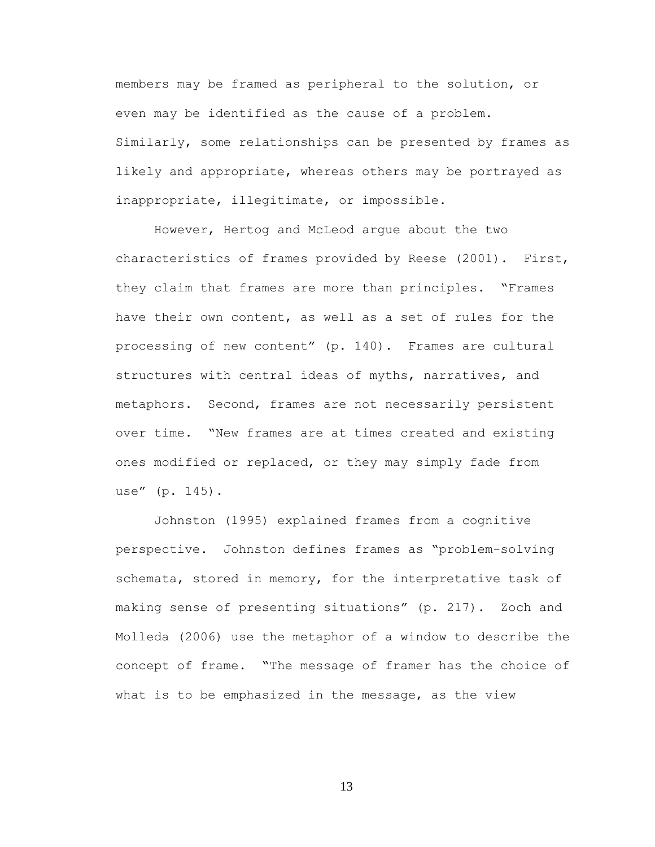members may be framed as peripheral to the solution, or even may be identified as the cause of a problem. Similarly, some relationships can be presented by frames as likely and appropriate, whereas others may be portrayed as inappropriate, illegitimate, or impossible.

However, Hertog and McLeod argue about the two characteristics of frames provided by Reese (2001). First, they claim that frames are more than principles. "Frames have their own content, as well as a set of rules for the processing of new content" (p. 140). Frames are cultural structures with central ideas of myths, narratives, and metaphors. Second, frames are not necessarily persistent over time. ―New frames are at times created and existing ones modified or replaced, or they may simply fade from use" (p. 145).

Johnston (1995) explained frames from a cognitive perspective. Johnston defines frames as "problem-solving schemata, stored in memory, for the interpretative task of making sense of presenting situations" (p. 217). Zoch and Molleda (2006) use the metaphor of a window to describe the concept of frame. "The message of framer has the choice of what is to be emphasized in the message, as the view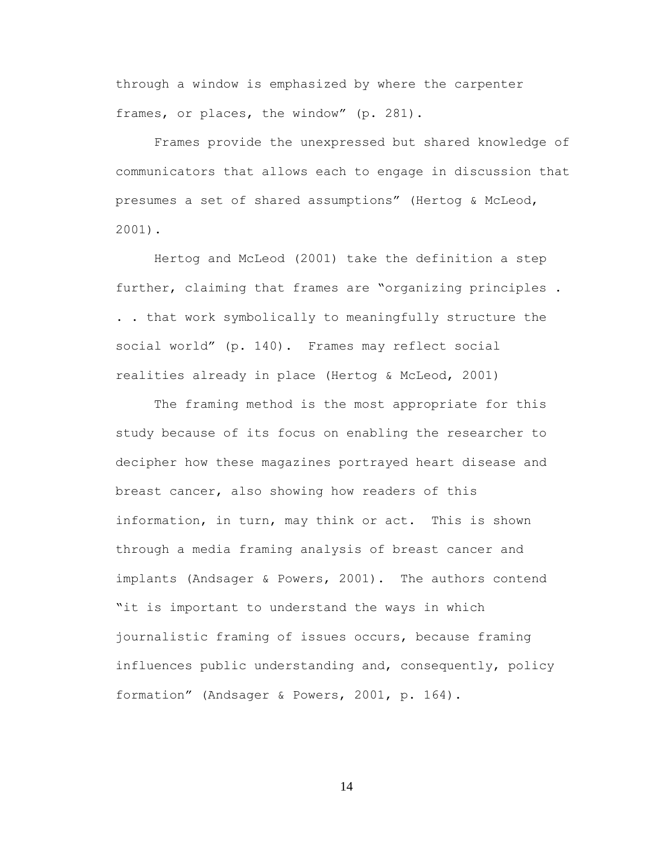through a window is emphasized by where the carpenter frames, or places, the window" (p. 281).

Frames provide the unexpressed but shared knowledge of communicators that allows each to engage in discussion that presumes a set of shared assumptions" (Hertog & McLeod, 2001).

Hertog and McLeod (2001) take the definition a step further, claiming that frames are "organizing principles. . . that work symbolically to meaningfully structure the social world" (p. 140). Frames may reflect social realities already in place (Hertog & McLeod, 2001)

The framing method is the most appropriate for this study because of its focus on enabling the researcher to decipher how these magazines portrayed heart disease and breast cancer, also showing how readers of this information, in turn, may think or act. This is shown through a media framing analysis of breast cancer and implants (Andsager & Powers, 2001). The authors contend "it is important to understand the ways in which journalistic framing of issues occurs, because framing influences public understanding and, consequently, policy formation‖ (Andsager & Powers, 2001, p. 164).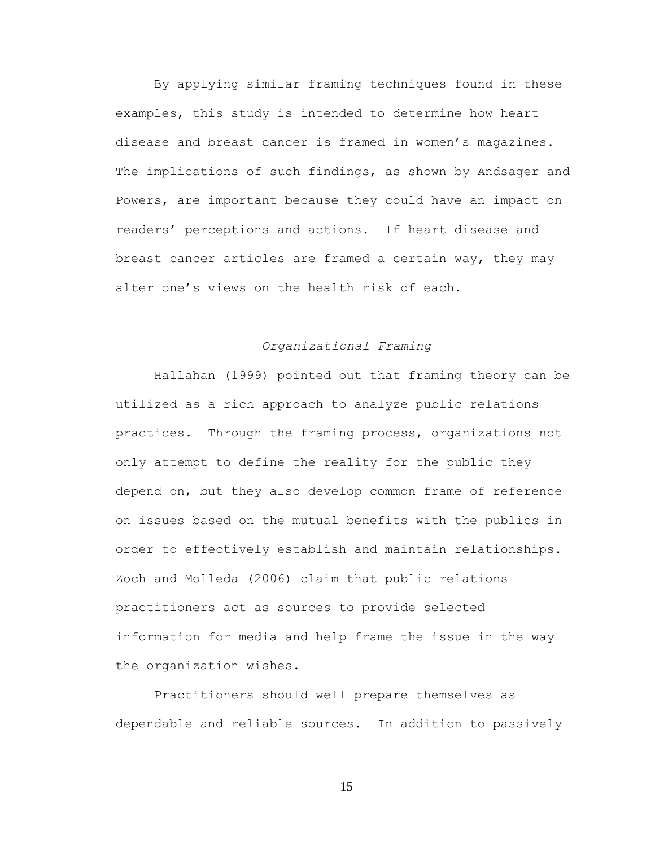By applying similar framing techniques found in these examples, this study is intended to determine how heart disease and breast cancer is framed in women's magazines. The implications of such findings, as shown by Andsager and Powers, are important because they could have an impact on readers' perceptions and actions. If heart disease and breast cancer articles are framed a certain way, they may alter one's views on the health risk of each.

### *Organizational Framing*

Hallahan (1999) pointed out that framing theory can be utilized as a rich approach to analyze public relations practices. Through the framing process, organizations not only attempt to define the reality for the public they depend on, but they also develop common frame of reference on issues based on the mutual benefits with the publics in order to effectively establish and maintain relationships. Zoch and Molleda (2006) claim that public relations practitioners act as sources to provide selected information for media and help frame the issue in the way the organization wishes.

Practitioners should well prepare themselves as dependable and reliable sources. In addition to passively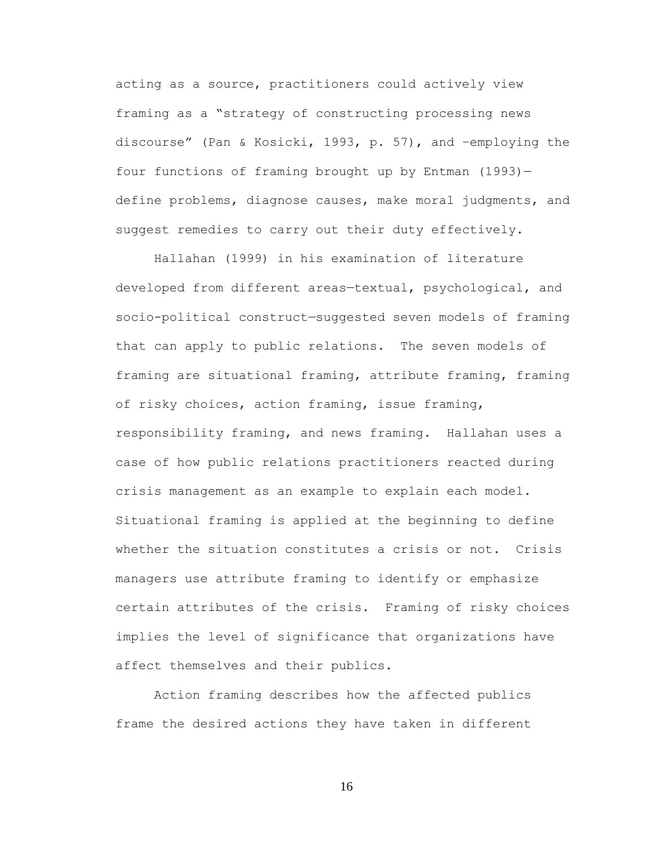acting as a source, practitioners could actively view framing as a "strategy of constructing processing news discourse‖ (Pan & Kosicki, 1993, p. 57), and –employing the four functions of framing brought up by Entman (1993) define problems, diagnose causes, make moral judgments, and suggest remedies to carry out their duty effectively.

Hallahan (1999) in his examination of literature developed from different areas—textual, psychological, and socio-political construct—suggested seven models of framing that can apply to public relations. The seven models of framing are situational framing, attribute framing, framing of risky choices, action framing, issue framing, responsibility framing, and news framing. Hallahan uses a case of how public relations practitioners reacted during crisis management as an example to explain each model. Situational framing is applied at the beginning to define whether the situation constitutes a crisis or not. Crisis managers use attribute framing to identify or emphasize certain attributes of the crisis. Framing of risky choices implies the level of significance that organizations have affect themselves and their publics.

Action framing describes how the affected publics frame the desired actions they have taken in different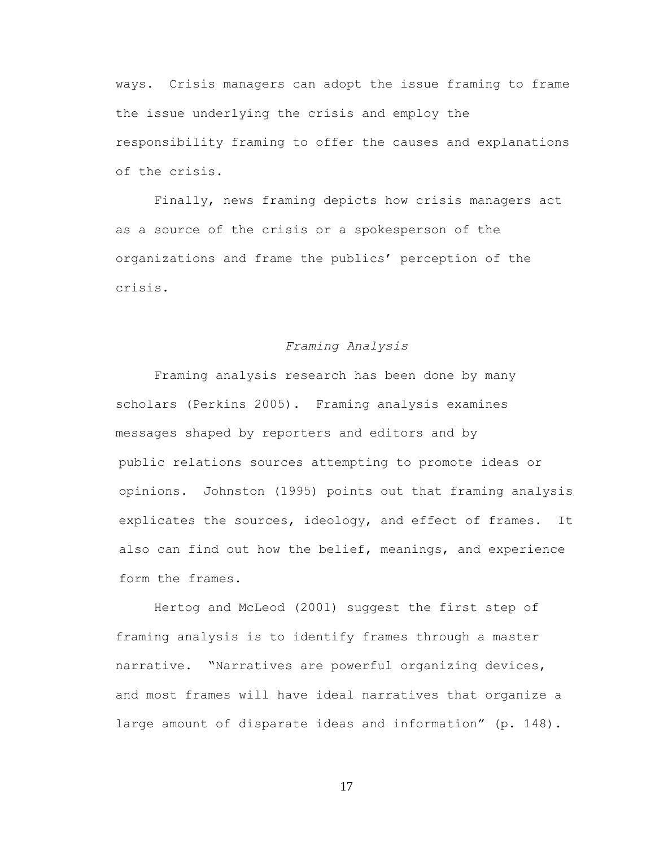ways. Crisis managers can adopt the issue framing to frame the issue underlying the crisis and employ the responsibility framing to offer the causes and explanations of the crisis.

Finally, news framing depicts how crisis managers act as a source of the crisis or a spokesperson of the organizations and frame the publics' perception of the crisis.

### *Framing Analysis*

Framing analysis research has been done by many scholars (Perkins 2005). Framing analysis examines messages shaped by reporters and editors and by public relations sources attempting to promote ideas or opinions. Johnston (1995) points out that framing analysis explicates the sources, ideology, and effect of frames. It also can find out how the belief, meanings, and experience form the frames.

Hertog and McLeod (2001) suggest the first step of framing analysis is to identify frames through a master narrative. "Narratives are powerful organizing devices, and most frames will have ideal narratives that organize a large amount of disparate ideas and information" (p. 148).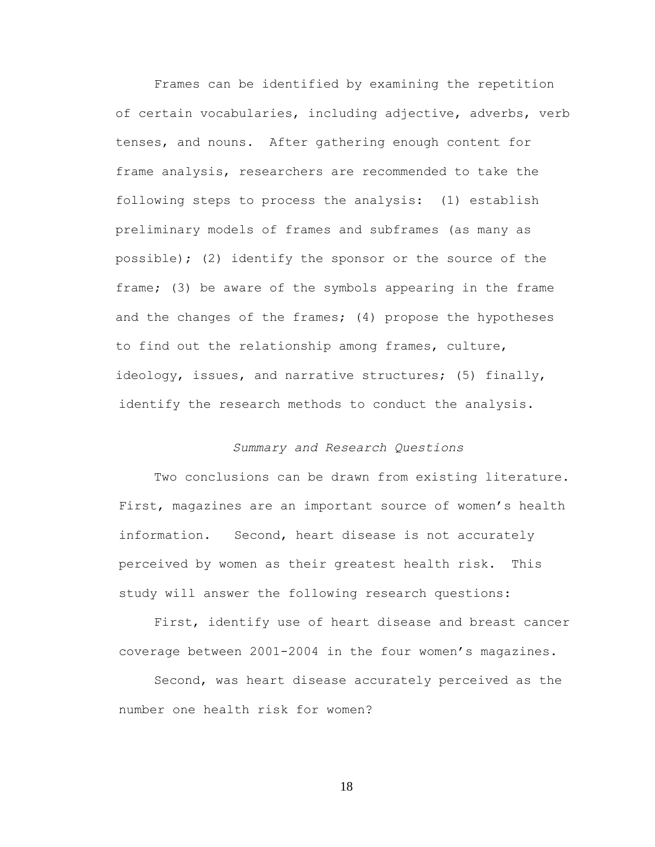Frames can be identified by examining the repetition of certain vocabularies, including adjective, adverbs, verb tenses, and nouns. After gathering enough content for frame analysis, researchers are recommended to take the following steps to process the analysis: (1) establish preliminary models of frames and subframes (as many as possible); (2) identify the sponsor or the source of the frame; (3) be aware of the symbols appearing in the frame and the changes of the frames; (4) propose the hypotheses to find out the relationship among frames, culture, ideology, issues, and narrative structures; (5) finally, identify the research methods to conduct the analysis.

# *Summary and Research Questions*

Two conclusions can be drawn from existing literature. First, magazines are an important source of women's health information. Second, heart disease is not accurately perceived by women as their greatest health risk. This study will answer the following research questions:

First, identify use of heart disease and breast cancer coverage between 2001-2004 in the four women's magazines.

Second, was heart disease accurately perceived as the number one health risk for women?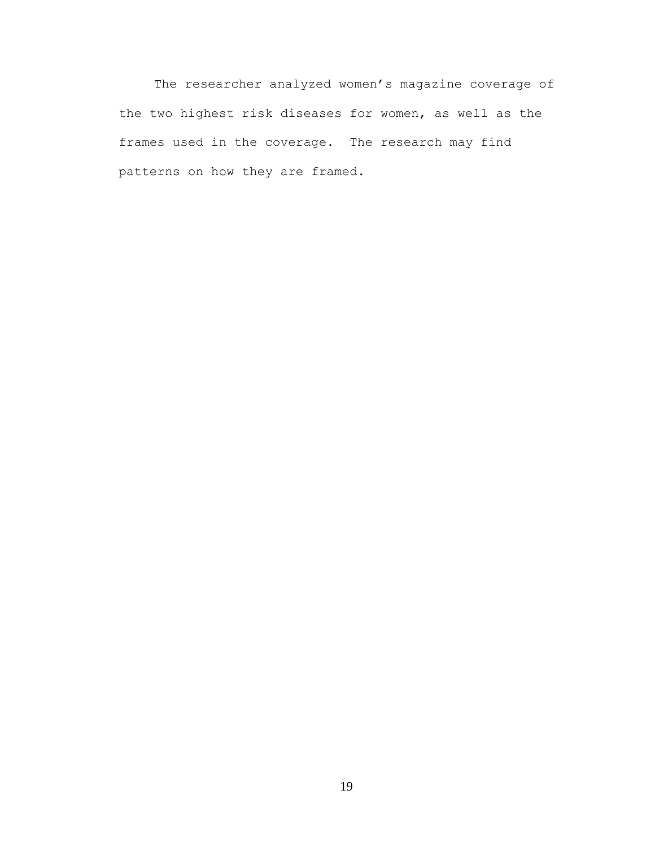The researcher analyzed women's magazine coverage of the two highest risk diseases for women, as well as the frames used in the coverage. The research may find patterns on how they are framed.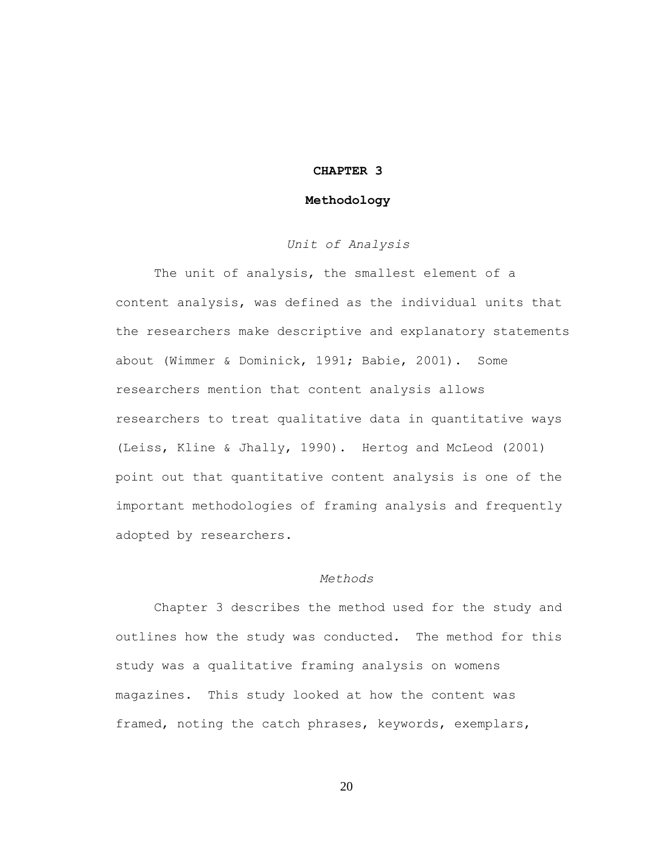### **CHAPTER 3**

### **Methodology**

# *Unit of Analysis*

The unit of analysis, the smallest element of a content analysis, was defined as the individual units that the researchers make descriptive and explanatory statements about (Wimmer & Dominick, 1991; Babie, 2001). Some researchers mention that content analysis allows researchers to treat qualitative data in quantitative ways (Leiss, Kline & Jhally, 1990). Hertog and McLeod (2001) point out that quantitative content analysis is one of the important methodologies of framing analysis and frequently adopted by researchers.

### *Methods*

Chapter 3 describes the method used for the study and outlines how the study was conducted. The method for this study was a qualitative framing analysis on womens magazines. This study looked at how the content was framed, noting the catch phrases, keywords, exemplars,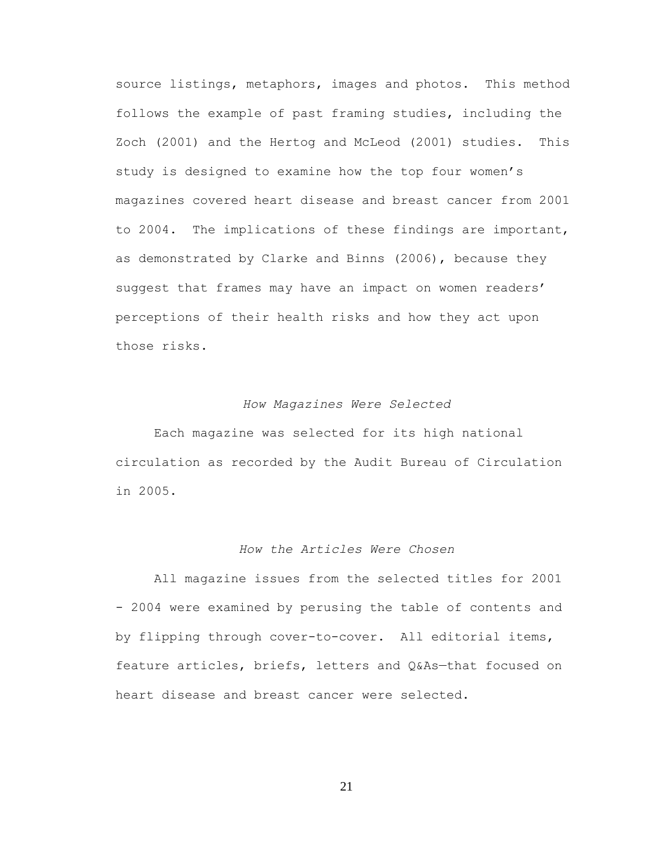source listings, metaphors, images and photos. This method follows the example of past framing studies, including the Zoch (2001) and the Hertog and McLeod (2001) studies. This study is designed to examine how the top four women's magazines covered heart disease and breast cancer from 2001 to 2004. The implications of these findings are important, as demonstrated by Clarke and Binns (2006), because they suggest that frames may have an impact on women readers' perceptions of their health risks and how they act upon those risks.

### *How Magazines Were Selected*

Each magazine was selected for its high national circulation as recorded by the Audit Bureau of Circulation in 2005.

# *How the Articles Were Chosen*

All magazine issues from the selected titles for 2001 - 2004 were examined by perusing the table of contents and by flipping through cover-to-cover. All editorial items, feature articles, briefs, letters and Q&As—that focused on heart disease and breast cancer were selected.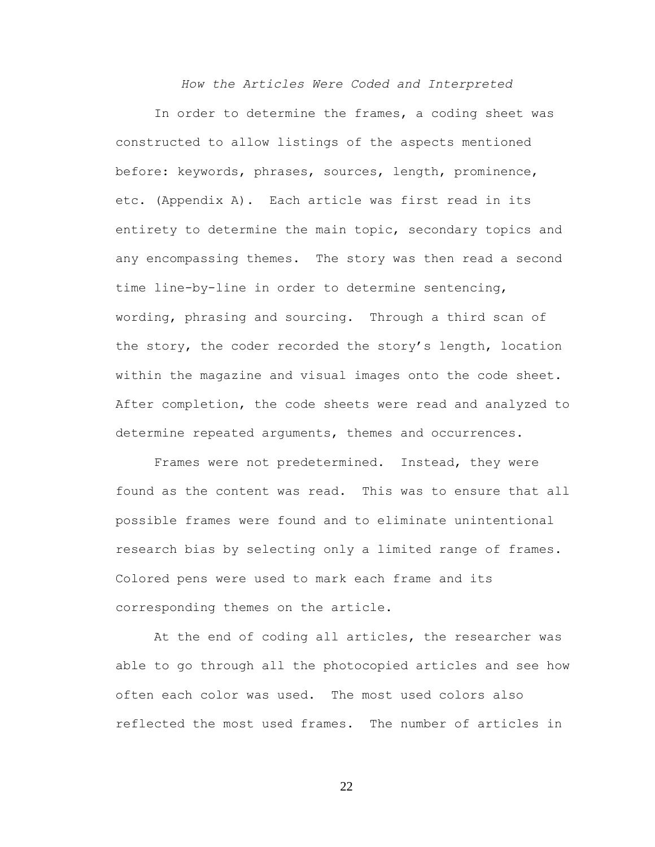*How the Articles Were Coded and Interpreted*

In order to determine the frames, a coding sheet was constructed to allow listings of the aspects mentioned before: keywords, phrases, sources, length, prominence, etc. (Appendix A). Each article was first read in its entirety to determine the main topic, secondary topics and any encompassing themes. The story was then read a second time line-by-line in order to determine sentencing, wording, phrasing and sourcing. Through a third scan of the story, the coder recorded the story's length, location within the magazine and visual images onto the code sheet. After completion, the code sheets were read and analyzed to determine repeated arguments, themes and occurrences.

Frames were not predetermined. Instead, they were found as the content was read. This was to ensure that all possible frames were found and to eliminate unintentional research bias by selecting only a limited range of frames. Colored pens were used to mark each frame and its corresponding themes on the article.

At the end of coding all articles, the researcher was able to go through all the photocopied articles and see how often each color was used. The most used colors also reflected the most used frames. The number of articles in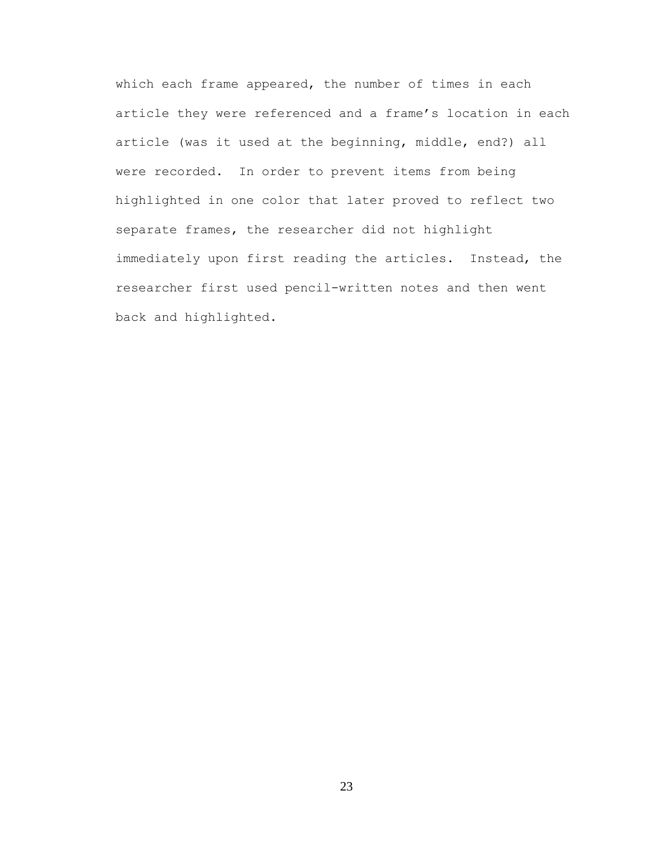which each frame appeared, the number of times in each article they were referenced and a frame's location in each article (was it used at the beginning, middle, end?) all were recorded. In order to prevent items from being highlighted in one color that later proved to reflect two separate frames, the researcher did not highlight immediately upon first reading the articles. Instead, the researcher first used pencil-written notes and then went back and highlighted.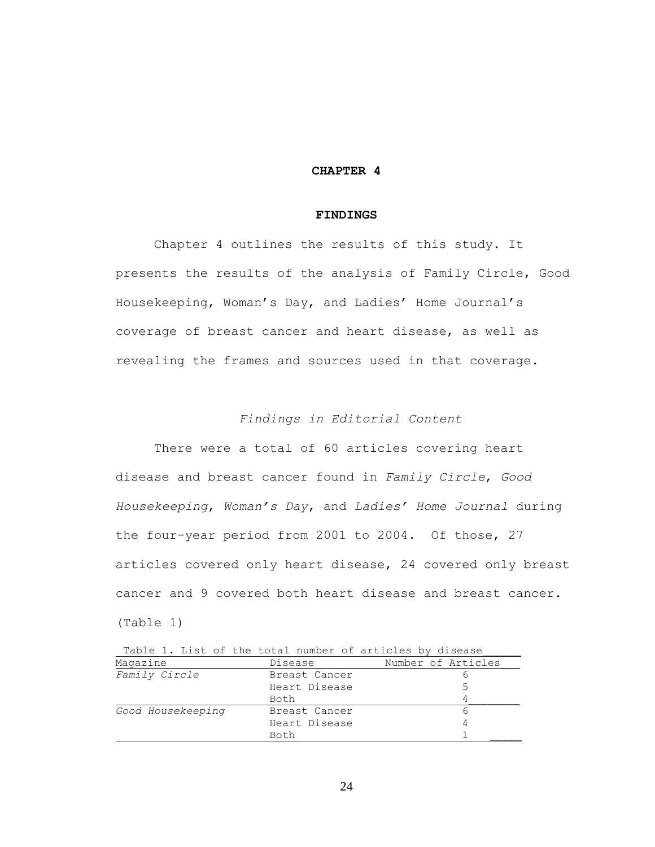### **CHAPTER 4**

#### **FINDINGS**

Chapter 4 outlines the results of this study. It presents the results of the analysis of Family Circle, Good Housekeeping, Woman's Day, and Ladies' Home Journal's coverage of breast cancer and heart disease, as well as revealing the frames and sources used in that coverage.

# *Findings in Editorial Content*

There were a total of 60 articles covering heart disease and breast cancer found in *Family Circle*, *Good Housekeeping*, *Woman's Day*, and *Ladies' Home Journal* during the four-year period from 2001 to 2004. Of those, 27 articles covered only heart disease, 24 covered only breast cancer and 9 covered both heart disease and breast cancer. (Table 1)

|                   |               | Table 1. List of the total number of articles by disease |
|-------------------|---------------|----------------------------------------------------------|
| Magazine          | Disease       | Number of Articles                                       |
| Family Circle     | Breast Cancer |                                                          |
|                   | Heart Disease |                                                          |
|                   | Both          |                                                          |
| Good Housekeeping | Breast Cancer |                                                          |
|                   | Heart Disease |                                                          |
|                   | Both          |                                                          |

Table 1. List of the total number of articles by di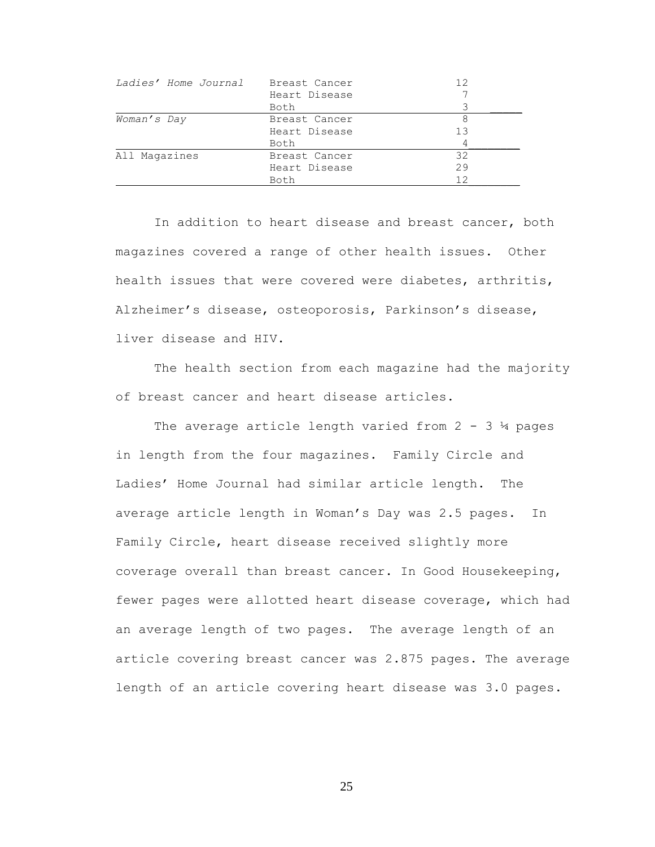| <i>Ladies' Home Journal</i> | Breast Cancer | 12 |
|-----------------------------|---------------|----|
|                             | Heart Disease |    |
|                             | Both          |    |
| Woman's Day                 | Breast Cancer |    |
|                             | Heart Disease | 13 |
|                             | Both          |    |
| All Magazines               | Breast Cancer | 32 |
|                             | Heart Disease | 29 |
|                             | Both          | 12 |

In addition to heart disease and breast cancer, both magazines covered a range of other health issues. Other health issues that were covered were diabetes, arthritis, Alzheimer's disease, osteoporosis, Parkinson's disease, liver disease and HIV.

The health section from each magazine had the majority of breast cancer and heart disease articles.

The average article length varied from  $2 - 3$   $\frac{1}{4}$  pages in length from the four magazines. Family Circle and Ladies' Home Journal had similar article length. The average article length in Woman's Day was 2.5 pages. In Family Circle, heart disease received slightly more coverage overall than breast cancer. In Good Housekeeping, fewer pages were allotted heart disease coverage, which had an average length of two pages. The average length of an article covering breast cancer was 2.875 pages. The average length of an article covering heart disease was 3.0 pages.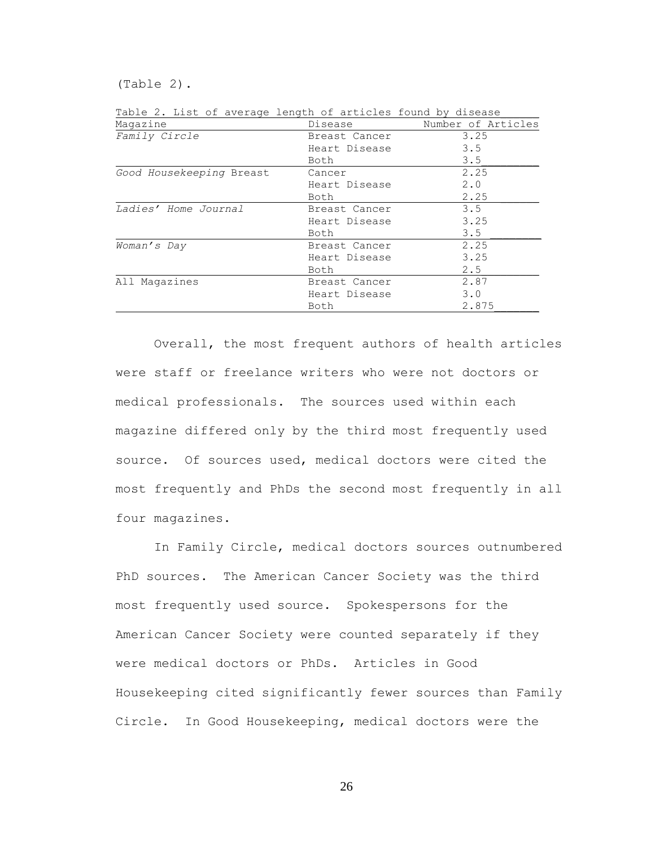(Table 2).

| Magazine                 | Disease       | Number of Articles |
|--------------------------|---------------|--------------------|
| Family Circle            | Breast Cancer | 3.25               |
|                          | Heart Disease | 3.5                |
|                          | Both          | 3.5                |
| Good Housekeeping Breast | Cancer        | 2.25               |
|                          | Heart Disease | 2.0                |
|                          | Both          | 2.25               |
| Ladies' Home Journal     | Breast Cancer | 3.5                |
|                          | Heart Disease | 3.25               |
|                          | Both          | 3.5                |
| Woman's Day              | Breast Cancer | 2.25               |
|                          | Heart Disease | 3.25               |
|                          | Both          | 2.5                |
| All Magazines            | Breast Cancer | 2.87               |
|                          | Heart Disease | 3.0                |
|                          | Both          | 2.875              |

Table 2. List of average length of articles found by disease

Overall, the most frequent authors of health articles were staff or freelance writers who were not doctors or medical professionals. The sources used within each magazine differed only by the third most frequently used source. Of sources used, medical doctors were cited the most frequently and PhDs the second most frequently in all four magazines.

In Family Circle, medical doctors sources outnumbered PhD sources. The American Cancer Society was the third most frequently used source. Spokespersons for the American Cancer Society were counted separately if they were medical doctors or PhDs. Articles in Good Housekeeping cited significantly fewer sources than Family Circle. In Good Housekeeping, medical doctors were the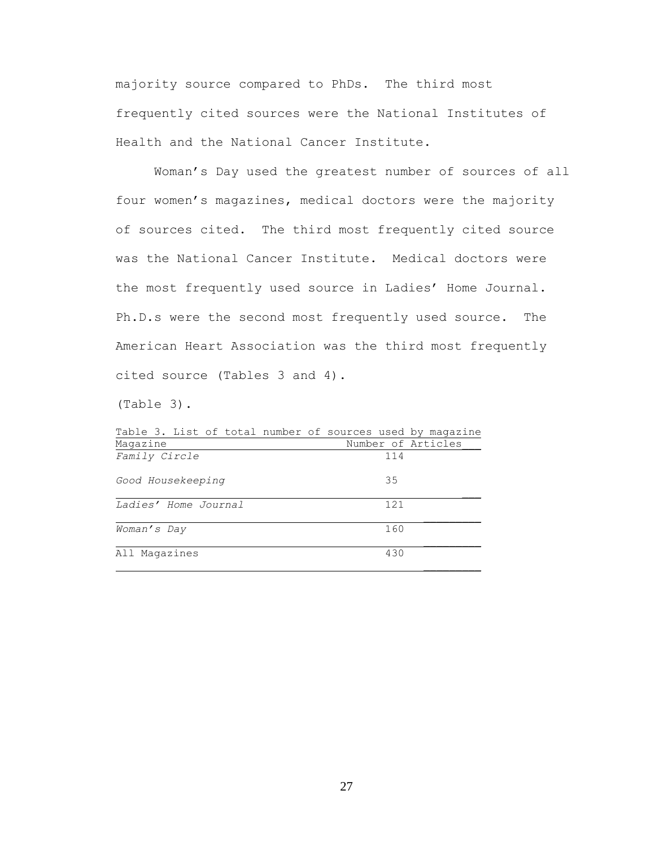majority source compared to PhDs. The third most frequently cited sources were the National Institutes of Health and the National Cancer Institute.

Woman's Day used the greatest number of sources of all four women's magazines, medical doctors were the majority of sources cited. The third most frequently cited source was the National Cancer Institute. Medical doctors were the most frequently used source in Ladies' Home Journal. Ph.D.s were the second most frequently used source. The American Heart Association was the third most frequently cited source (Tables 3 and 4).

(Table 3).

| Table 3. List of total number of sources used by magazine |                    |
|-----------------------------------------------------------|--------------------|
| Magazine                                                  | Number of Articles |
| Family Circle                                             | 114                |
| Good Housekeeping                                         | 35                 |
| Ladies' Home Journal                                      | 121                |
| Woman's Day                                               | 160                |
| All Magazines                                             | 430                |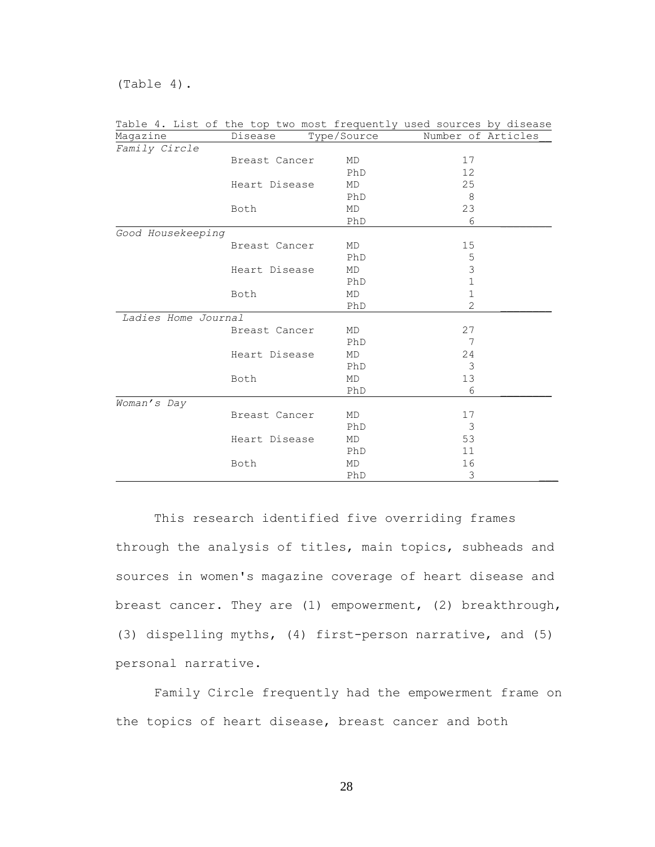(Table 4).

personal narrative.

|                     |               |             | Table 4. List of the top two most frequently used sources by disease |
|---------------------|---------------|-------------|----------------------------------------------------------------------|
| Magazine            | Disease       | Type/Source | Number of Articles                                                   |
| Family Circle       |               |             |                                                                      |
|                     | Breast Cancer | MD          | 17                                                                   |
|                     |               | PhD         | 12                                                                   |
|                     | Heart Disease | MD          | 25                                                                   |
|                     |               | PhD         | 8                                                                    |
|                     | Both          | MD          | 23                                                                   |
|                     |               | PhD         | 6                                                                    |
| Good Housekeeping   |               |             |                                                                      |
|                     | Breast Cancer | MD          | 15                                                                   |
|                     |               | PhD         | 5                                                                    |
|                     | Heart Disease | MD          | 3                                                                    |
|                     |               | PhD         | $\mathbf 1$                                                          |
|                     | Both          | MD          | $\mathbf 1$                                                          |
|                     |               | PhD         | $\overline{2}$                                                       |
| Ladies Home Journal |               |             |                                                                      |
|                     | Breast Cancer | MD          | 27                                                                   |
|                     |               | PhD         | 7                                                                    |
|                     | Heart Disease | MD          | 24                                                                   |
|                     |               | PhD         | $\mathcal{S}$                                                        |
|                     | Both          | MD          | 13                                                                   |
|                     |               | PhD         | 6                                                                    |
| Woman's Day         |               |             |                                                                      |
|                     | Breast Cancer | MD          | 17                                                                   |
|                     |               | PhD         | 3                                                                    |
|                     | Heart Disease | MD          | 53                                                                   |
|                     |               | PhD         | 11                                                                   |
|                     | Both          | MD          | 16                                                                   |
|                     |               | PhD         | 3                                                                    |

This research identified five overriding frames through the analysis of titles, main topics, subheads and sources in women's magazine coverage of heart disease and breast cancer. They are (1) empowerment, (2) breakthrough, (3) dispelling myths, (4) first-person narrative, and (5)

Family Circle frequently had the empowerment frame on the topics of heart disease, breast cancer and both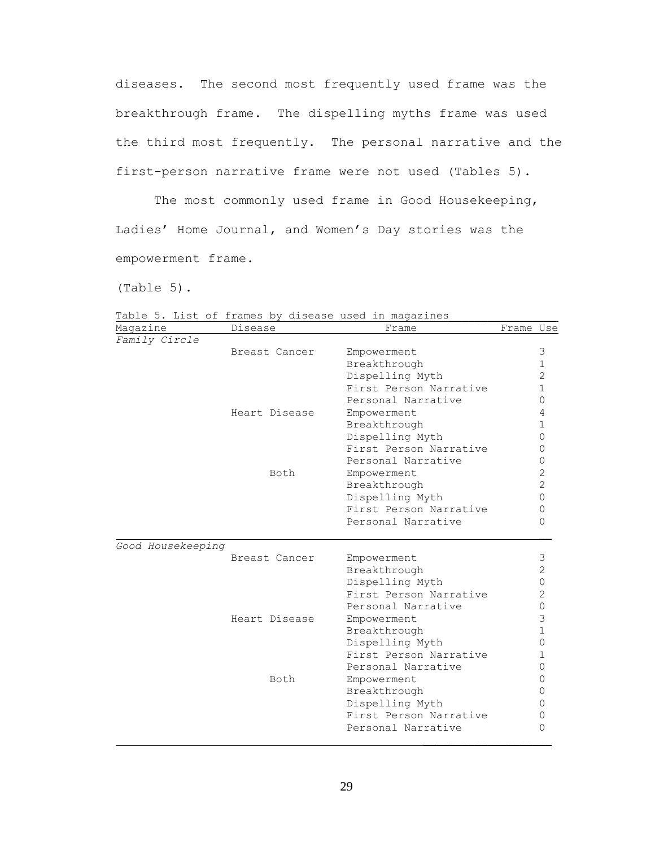diseases. The second most frequently used frame was the breakthrough frame. The dispelling myths frame was used the third most frequently. The personal narrative and the first-person narrative frame were not used (Tables 5).

The most commonly used frame in Good Housekeeping, Ladies' Home Journal, and Women's Day stories was the empowerment frame.

(Table 5).

Magazine Disease **Example 19** Disease **Frame** Prame Use *Family Circle* Breast Cancer Empowerment 3 Breakthrough 1 Dispelling Myth 2 First Person Narrative 1 Personal Narrative 0 Heart Disease Empowerment 4 Breakthrough 1 Dispelling Myth 0 First Person Narrative 0 Personal Narrative 0 Both Empowerment 2 Breakthrough 2 Dispelling Myth 0 First Person Narrative 0 Personal Narrative 0 *Good Housekeeping* Breast Cancer Empowerment 3 Breakthrough 2 Dispelling Myth 0 First Person Narrative 2 Personal Narrative 0 Heart Disease Empowerment 3 Breakthrough 1 Dispelling Myth 0 First Person Narrative 1 Personal Narrative 0 Both Empowerment 0 Breakthrough 0 Dispelling Myth 0 First Person Narrative 0 Personal Narrative 0

Table 5. List of frames by disease used in magazines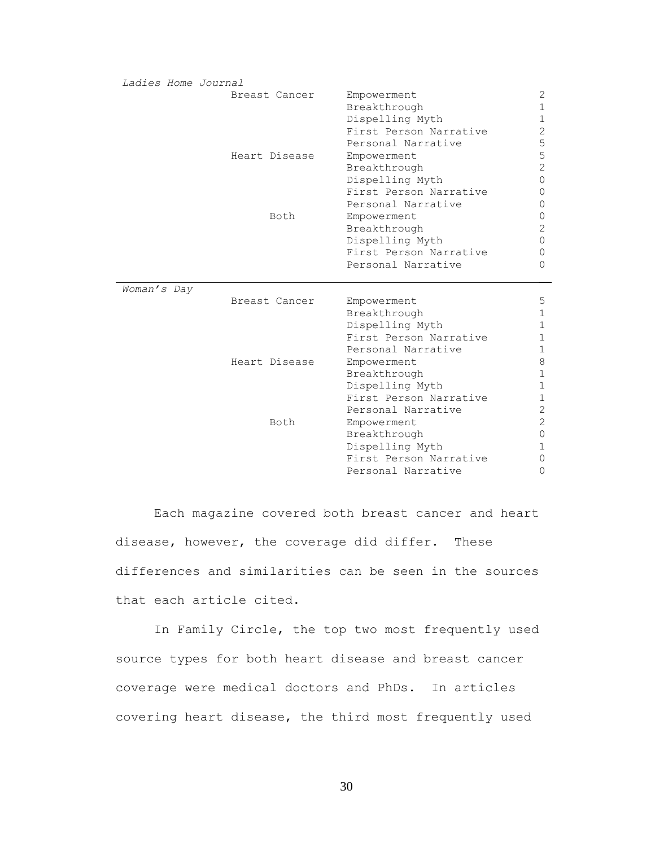| Ladies Home Journal |               |                                              |                |
|---------------------|---------------|----------------------------------------------|----------------|
|                     | Breast Cancer | Empowerment                                  | 2              |
|                     |               | Breakthrough                                 | 1              |
|                     |               | Dispelling Myth                              | $\mathbf 1$    |
|                     |               | First Person Narrative                       | 2              |
|                     |               | Personal Narrative                           | 5              |
|                     | Heart Disease | Empowerment                                  | 5              |
|                     |               | Breakthrough                                 | $\overline{c}$ |
|                     |               | Dispelling Myth                              | 0              |
|                     |               | First Person Narrative                       | 0              |
|                     |               | Personal Narrative                           | 0              |
|                     | Both          | Empowerment                                  | 0              |
|                     |               | Breakthrough                                 | $\mathbf{2}$   |
|                     |               | Dispelling Myth                              | $\Omega$       |
|                     |               | First Person Narrative                       | 0              |
|                     |               | Personal Narrative                           | 0              |
|                     |               |                                              |                |
|                     |               |                                              |                |
| Woman's Day         |               |                                              |                |
|                     | Breast Cancer | Empowerment                                  | 5              |
|                     |               | Breakthrough                                 | 1              |
|                     |               | Dispelling Myth                              | $\mathbf{1}$   |
|                     |               | First Person Narrative                       | 1              |
|                     |               | Personal Narrative                           | $\mathbf{1}$   |
|                     | Heart Disease | Empowerment                                  | 8              |
|                     |               | Breakthrough                                 | 1              |
|                     |               | Dispelling Myth                              | $\mathbf{1}$   |
|                     |               | First Person Narrative                       | 1              |
|                     |               | Personal Narrative                           | $\mathbf{2}$   |
|                     | Both          | Empowerment                                  | 2              |
|                     |               | Breakthrough                                 | 0              |
|                     |               | Dispelling Myth                              | 1              |
|                     |               | First Person Narrative<br>Personal Narrative | 0<br>0         |

Each magazine covered both breast cancer and heart disease, however, the coverage did differ. These differences and similarities can be seen in the sources that each article cited.

In Family Circle, the top two most frequently used source types for both heart disease and breast cancer coverage were medical doctors and PhDs. In articles covering heart disease, the third most frequently used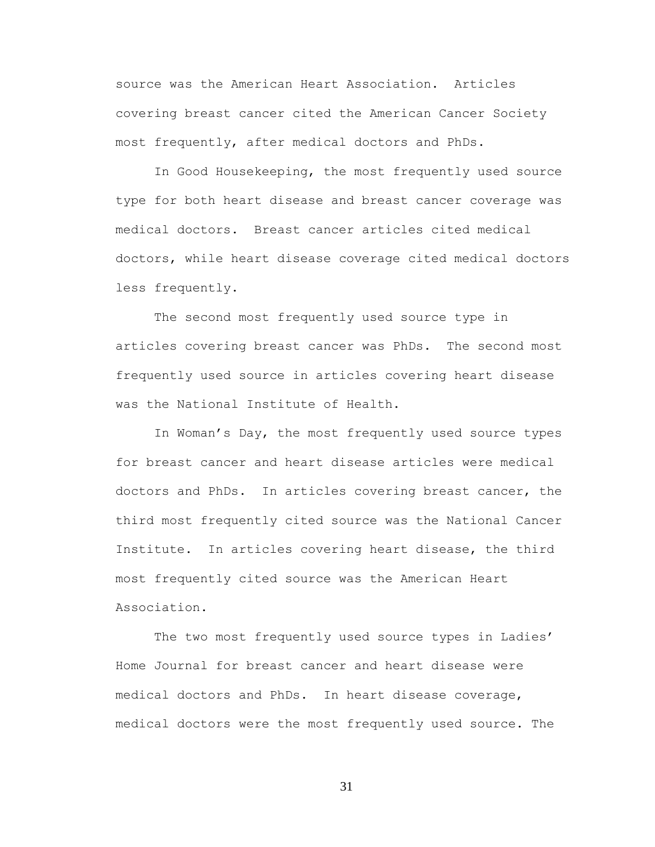source was the American Heart Association. Articles covering breast cancer cited the American Cancer Society most frequently, after medical doctors and PhDs.

In Good Housekeeping, the most frequently used source type for both heart disease and breast cancer coverage was medical doctors. Breast cancer articles cited medical doctors, while heart disease coverage cited medical doctors less frequently.

The second most frequently used source type in articles covering breast cancer was PhDs. The second most frequently used source in articles covering heart disease was the National Institute of Health.

In Woman's Day, the most frequently used source types for breast cancer and heart disease articles were medical doctors and PhDs. In articles covering breast cancer, the third most frequently cited source was the National Cancer Institute. In articles covering heart disease, the third most frequently cited source was the American Heart Association.

The two most frequently used source types in Ladies' Home Journal for breast cancer and heart disease were medical doctors and PhDs. In heart disease coverage, medical doctors were the most frequently used source. The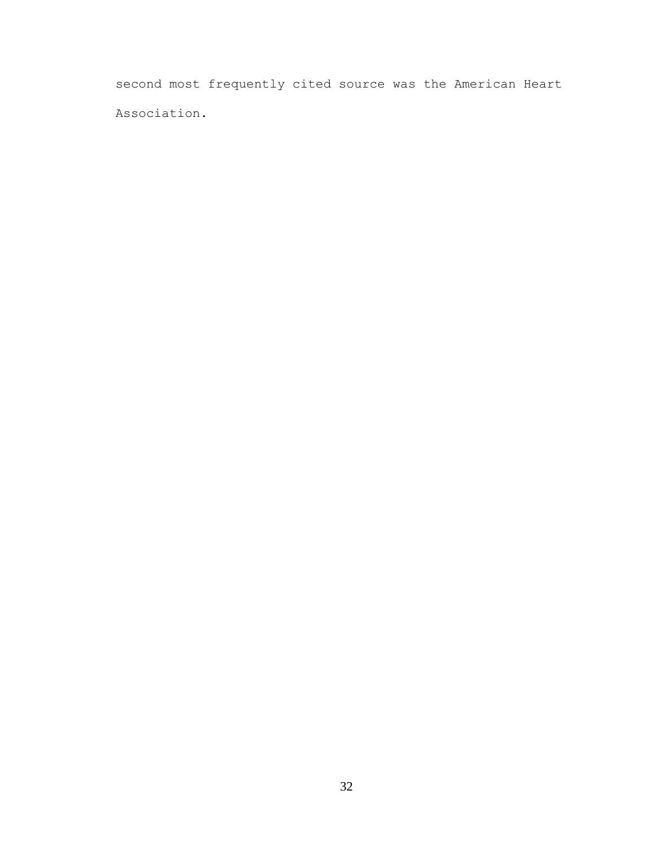second most frequently cited source was the American Heart Association.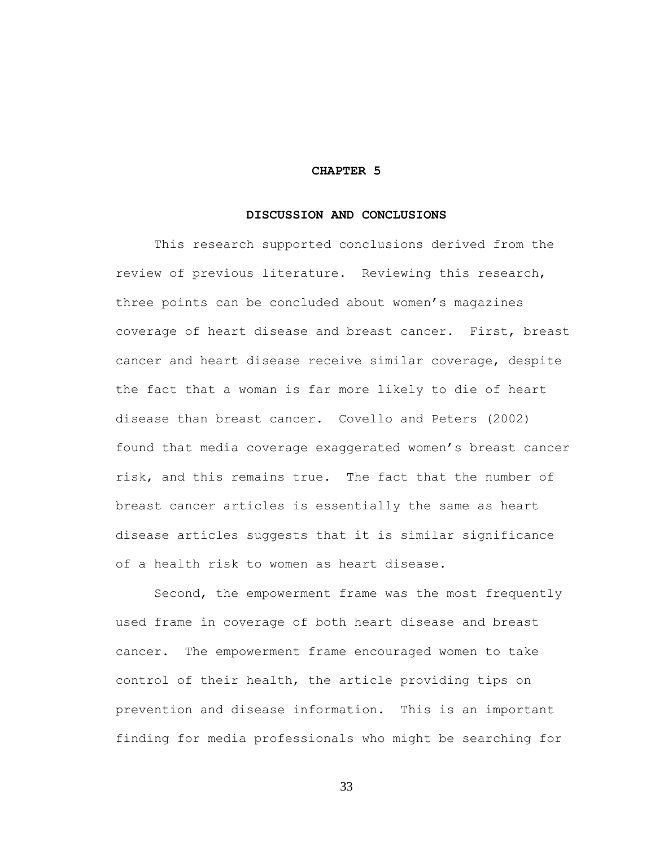### **CHAPTER 5**

#### **DISCUSSION AND CONCLUSIONS**

This research supported conclusions derived from the review of previous literature. Reviewing this research, three points can be concluded about women's magazines coverage of heart disease and breast cancer. First, breast cancer and heart disease receive similar coverage, despite the fact that a woman is far more likely to die of heart disease than breast cancer. Covello and Peters (2002) found that media coverage exaggerated women's breast cancer risk, and this remains true. The fact that the number of breast cancer articles is essentially the same as heart disease articles suggests that it is similar significance of a health risk to women as heart disease.

Second, the empowerment frame was the most frequently used frame in coverage of both heart disease and breast cancer. The empowerment frame encouraged women to take control of their health, the article providing tips on prevention and disease information. This is an important finding for media professionals who might be searching for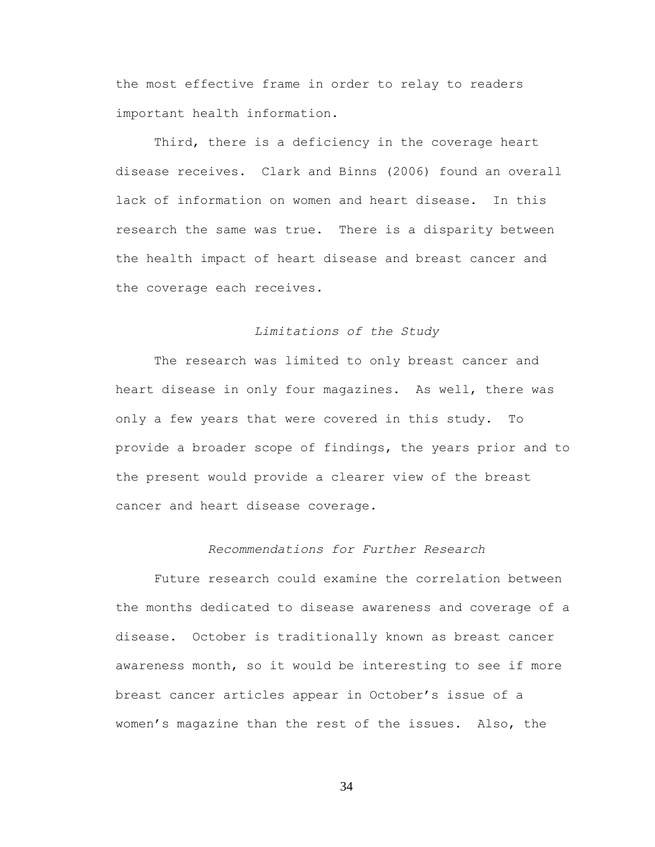the most effective frame in order to relay to readers important health information.

Third, there is a deficiency in the coverage heart disease receives. Clark and Binns (2006) found an overall lack of information on women and heart disease. In this research the same was true. There is a disparity between the health impact of heart disease and breast cancer and the coverage each receives.

# *Limitations of the Study*

The research was limited to only breast cancer and heart disease in only four magazines. As well, there was only a few years that were covered in this study. To provide a broader scope of findings, the years prior and to the present would provide a clearer view of the breast cancer and heart disease coverage.

# *Recommendations for Further Research*

Future research could examine the correlation between the months dedicated to disease awareness and coverage of a disease. October is traditionally known as breast cancer awareness month, so it would be interesting to see if more breast cancer articles appear in October's issue of a women's magazine than the rest of the issues. Also, the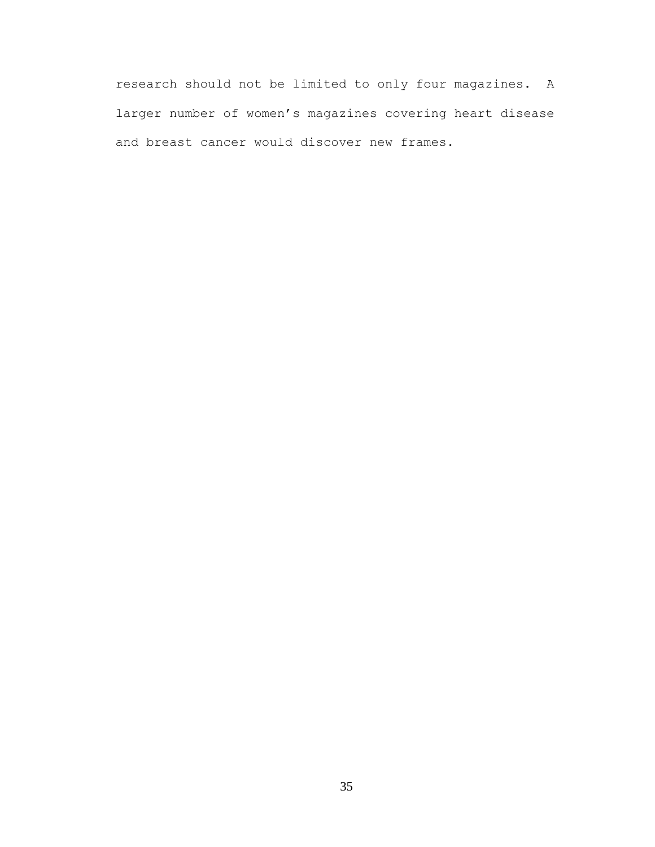research should not be limited to only four magazines. A larger number of women's magazines covering heart disease and breast cancer would discover new frames.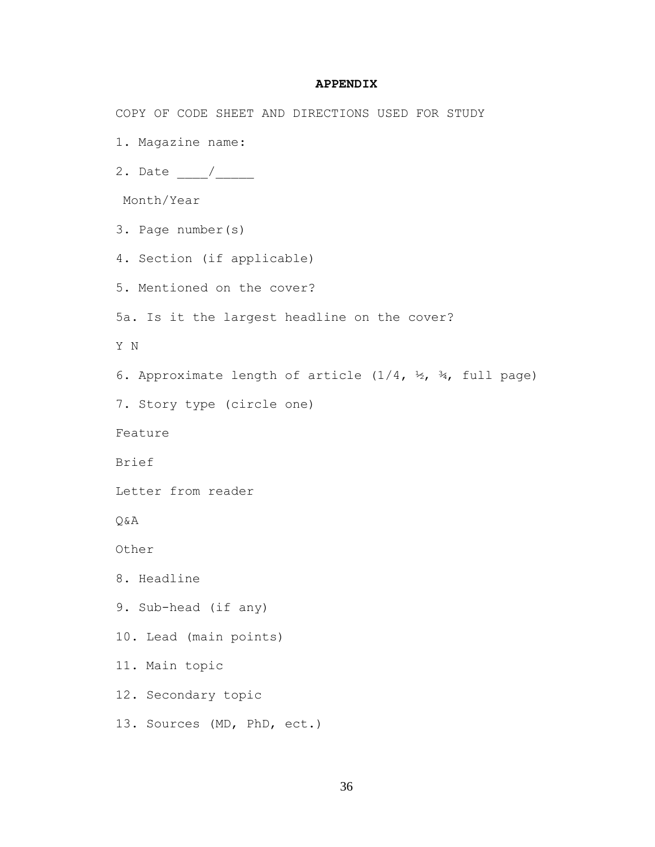### **APPENDIX**

COPY OF CODE SHEET AND DIRECTIONS USED FOR STUDY

1. Magazine name:

2. Date \_\_\_\_/\_\_\_\_\_

Month/Year

3. Page number(s)

4. Section (if applicable)

5. Mentioned on the cover?

5a. Is it the largest headline on the cover?

Y N

6. Approximate length of article  $(1/4, \frac{1}{2}, \frac{3}{4})$ , full page)

7. Story type (circle one)

Feature

Brief

Letter from reader

Q&A

Other

8. Headline

9. Sub-head (if any)

10. Lead (main points)

11. Main topic

12. Secondary topic

13. Sources (MD, PhD, ect.)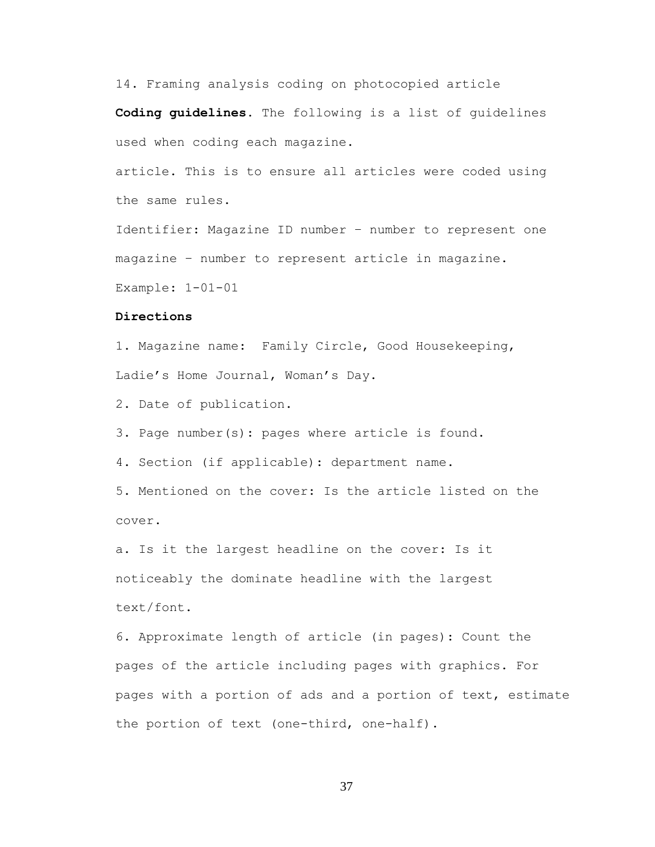14. Framing analysis coding on photocopied article

**Coding guidelines.** The following is a list of guidelines used when coding each magazine.

article. This is to ensure all articles were coded using the same rules.

Identifier: Magazine ID number – number to represent one magazine – number to represent article in magazine.

Example: 1-01-01

### **Directions**

1. Magazine name: Family Circle, Good Housekeeping, Ladie's Home Journal, Woman's Day.

2. Date of publication.

3. Page number(s): pages where article is found.

4. Section (if applicable): department name.

5. Mentioned on the cover: Is the article listed on the cover.

a. Is it the largest headline on the cover: Is it noticeably the dominate headline with the largest text/font.

6. Approximate length of article (in pages): Count the pages of the article including pages with graphics. For pages with a portion of ads and a portion of text, estimate the portion of text (one-third, one-half).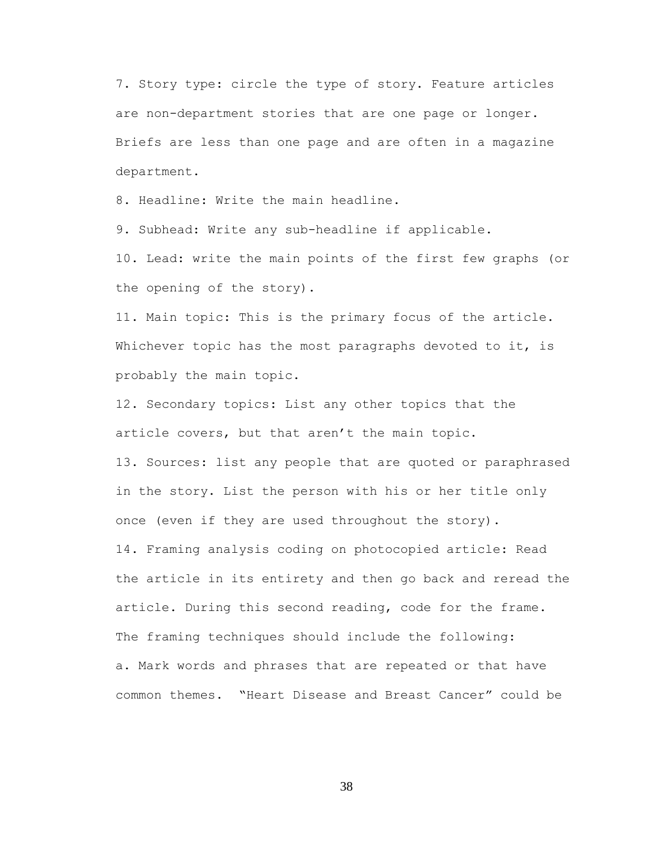7. Story type: circle the type of story. Feature articles are non-department stories that are one page or longer. Briefs are less than one page and are often in a magazine department.

8. Headline: Write the main headline.

9. Subhead: Write any sub-headline if applicable.

10. Lead: write the main points of the first few graphs (or the opening of the story).

11. Main topic: This is the primary focus of the article. Whichever topic has the most paragraphs devoted to it, is probably the main topic.

12. Secondary topics: List any other topics that the article covers, but that aren't the main topic.

13. Sources: list any people that are quoted or paraphrased in the story. List the person with his or her title only once (even if they are used throughout the story). 14. Framing analysis coding on photocopied article: Read the article in its entirety and then go back and reread the article. During this second reading, code for the frame. The framing techniques should include the following: a. Mark words and phrases that are repeated or that have common themes. "Heart Disease and Breast Cancer" could be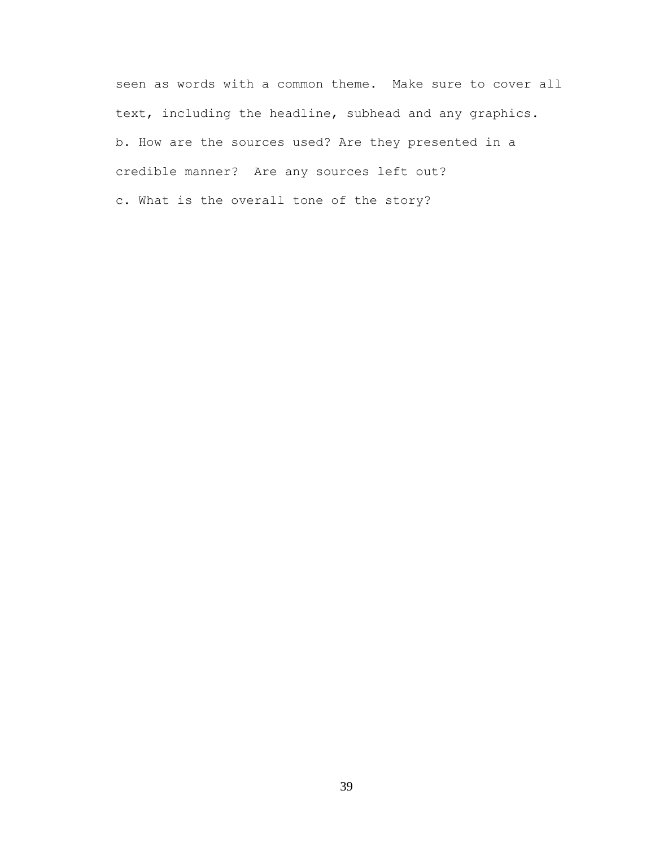seen as words with a common theme. Make sure to cover all text, including the headline, subhead and any graphics. b. How are the sources used? Are they presented in a credible manner? Are any sources left out? c. What is the overall tone of the story?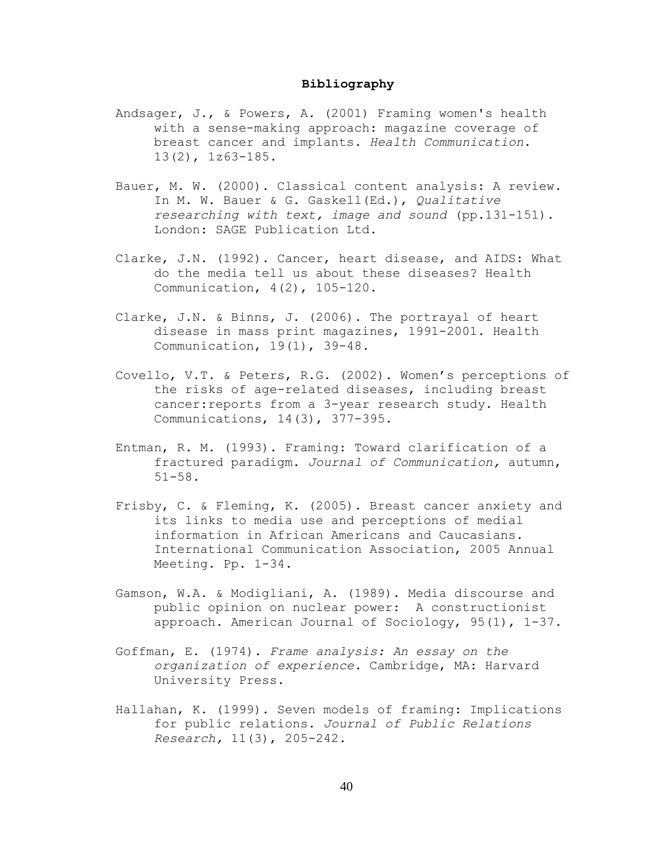### **Bibliography**

- Andsager, J., & Powers, A. (2001) Framing women's health with a sense-making approach: magazine coverage of breast cancer and implants. *Health Communication*. 13(2), 1z63-185.
- Bauer, M. W. (2000). Classical content analysis: A review. In M. W. Bauer & G. Gaskell(Ed.), *Qualitative researching with text, image and sound* (pp.131-151). London: SAGE Publication Ltd.
- Clarke, J.N. (1992). Cancer, heart disease, and AIDS: What do the media tell us about these diseases? Health Communication, 4(2), 105-120.
- Clarke, J.N. & Binns, J. (2006). The portrayal of heart disease in mass print magazines, 1991-2001. Health Communication, 19(1), 39-48.
- Covello, V.T. & Peters, R.G. (2002). Women's perceptions of the risks of age-related diseases, including breast cancer:reports from a 3-year research study. Health Communications, 14(3), 377-395.
- Entman, R. M. (1993). Framing: Toward clarification of a fractured paradigm. *Journal of Communication,* autumn, 51-58.
- Frisby, C. & Fleming, K. (2005). Breast cancer anxiety and its links to media use and perceptions of medial information in African Americans and Caucasians. International Communication Association, 2005 Annual Meeting. Pp. 1-34.
- Gamson, W.A. & Modigliani, A. (1989). Media discourse and public opinion on nuclear power: A constructionist approach. American Journal of Sociology, 95(1), 1-37.
- Goffman, E. (1974). *Frame analysis: An essay on the organization of experience.* Cambridge, MA: Harvard University Press.
- Hallahan, K. (1999). Seven models of framing: Implications for public relations. *Journal of Public Relations Research,* 11(3), 205-242.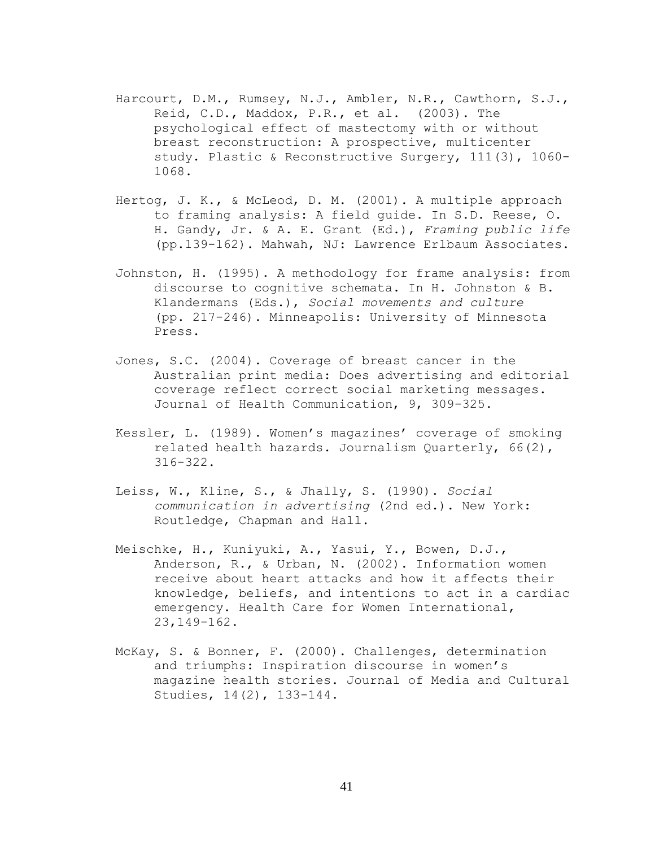- Harcourt, D.M., Rumsey, N.J., Ambler, N.R., Cawthorn, S.J., Reid, C.D., Maddox, P.R., et al. (2003). The psychological effect of mastectomy with or without breast reconstruction: A prospective, multicenter study. Plastic & Reconstructive Surgery, 111(3), 1060- 1068.
- Hertog, J. K., & McLeod, D. M. (2001). A multiple approach to framing analysis: A field guide. In S.D. Reese, O. H. Gandy, Jr. & A. E. Grant (Ed.), *Framing public life* (pp.139-162). Mahwah, NJ: Lawrence Erlbaum Associates.
- Johnston, H. (1995). A methodology for frame analysis: from discourse to cognitive schemata. In H. Johnston & B. Klandermans (Eds.), *Social movements and culture* (pp. 217-246). Minneapolis: University of Minnesota Press.
- Jones, S.C. (2004). Coverage of breast cancer in the Australian print media: Does advertising and editorial coverage reflect correct social marketing messages. Journal of Health Communication, 9, 309-325.
- Kessler, L. (1989). Women's magazines' coverage of smoking related health hazards. Journalism Quarterly, 66(2), 316-322.
- Leiss, W., Kline, S., & Jhally, S. (1990). *Social communication in advertising* (2nd ed.). New York: Routledge, Chapman and Hall.
- Meischke, H., Kuniyuki, A., Yasui, Y., Bowen, D.J., Anderson, R., & Urban, N. (2002). Information women receive about heart attacks and how it affects their knowledge, beliefs, and intentions to act in a cardiac emergency. Health Care for Women International, 23,149-162.
- McKay, S. & Bonner, F. (2000). Challenges, determination and triumphs: Inspiration discourse in women's magazine health stories. Journal of Media and Cultural Studies, 14(2), 133-144.